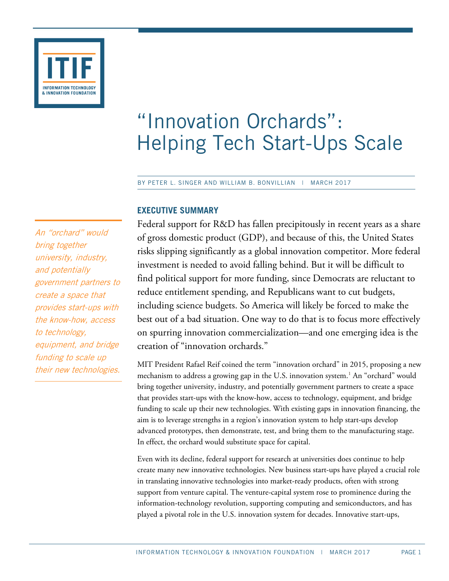

# "Innovation Orchards": Helping Tech Start-Ups Scale

BY PETER L. SINGER AND WILLIAM B. BONVILLIAN | MARCH 2017

## **EXECUTIVE SUMMARY**

An "orchard" would bring together university, industry, and potentially government partners to create a space that provides start-ups with the know-how, access to technology, equipment, and bridge funding to scale up their new technologies.

Federal support for R&D has fallen precipitously in recent years as a share of gross domestic product (GDP), and because of this, the United States risks slipping significantly as a global innovation competitor. More federal investment is needed to avoid falling behind. But it will be difficult to find political support for more funding, since Democrats are reluctant to reduce entitlement spending, and Republicans want to cut budgets, including science budgets. So America will likely be forced to make the best out of a bad situation. One way to do that is to focus more effectively on spurring innovation commercialization—and one emerging idea is the creation of "innovation orchards."

MIT President Rafael Reif coined the term "innovation orchard" in 2015, proposing a new mechanism to address a growing gap in the U.S. innovation system.<sup>[1](#page-32-0)</sup> An "orchard" would bring together university, industry, and potentially government partners to create a space that provides start-ups with the know-how, access to technology, equipment, and bridge funding to scale up their new technologies. With existing gaps in innovation financing, the aim is to leverage strengths in a region's innovation system to help start-ups develop advanced prototypes, then demonstrate, test, and bring them to the manufacturing stage. In effect, the orchard would substitute space for capital.

Even with its decline, federal support for research at universities does continue to help create many new innovative technologies. New business start-ups have played a crucial role in translating innovative technologies into market-ready products, often with strong support from venture capital. The venture-capital system rose to prominence during the information-technology revolution, supporting computing and semiconductors, and has played a pivotal role in the U.S. innovation system for decades. Innovative start-ups,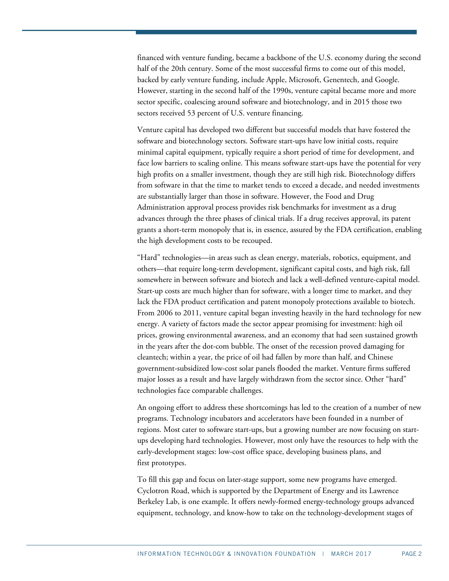financed with venture funding, became a backbone of the U.S. economy during the second half of the 20th century. Some of the most successful firms to come out of this model, backed by early venture funding, include Apple, Microsoft, Genentech, and Google. However, starting in the second half of the 1990s, venture capital became more and more sector specific, coalescing around software and biotechnology, and in 2015 those two sectors received 53 percent of U.S. venture financing.

Venture capital has developed two different but successful models that have fostered the software and biotechnology sectors. Software start-ups have low initial costs, require minimal capital equipment, typically require a short period of time for development, and face low barriers to scaling online. This means software start-ups have the potential for very high profits on a smaller investment, though they are still high risk. Biotechnology differs from software in that the time to market tends to exceed a decade, and needed investments are substantially larger than those in software. However, the Food and Drug Administration approval process provides risk benchmarks for investment as a drug advances through the three phases of clinical trials. If a drug receives approval, its patent grants a short-term monopoly that is, in essence, assured by the FDA certification, enabling the high development costs to be recouped.

"Hard" technologies—in areas such as clean energy, materials, robotics, equipment, and others—that require long-term development, significant capital costs, and high risk, fall somewhere in between software and biotech and lack a well-defined venture-capital model. Start-up costs are much higher than for software, with a longer time to market, and they lack the FDA product certification and patent monopoly protections available to biotech. From 2006 to 2011, venture capital began investing heavily in the hard technology for new energy. A variety of factors made the sector appear promising for investment: high oil prices, growing environmental awareness, and an economy that had seen sustained growth in the years after the dot-com bubble. The onset of the recession proved damaging for cleantech; within a year, the price of oil had fallen by more than half, and Chinese government-subsidized low-cost solar panels flooded the market. Venture firms suffered major losses as a result and have largely withdrawn from the sector since. Other "hard" technologies face comparable challenges.

An ongoing effort to address these shortcomings has led to the creation of a number of new programs. Technology incubators and accelerators have been founded in a number of regions. Most cater to software start-ups, but a growing number are now focusing on startups developing hard technologies. However, most only have the resources to help with the early-development stages: low-cost office space, developing business plans, and first prototypes.

To fill this gap and focus on later-stage support, some new programs have emerged. Cyclotron Road, which is supported by the Department of Energy and its Lawrence Berkeley Lab, is one example. It offers newly-formed energy-technology groups advanced equipment, technology, and know-how to take on the technology-development stages of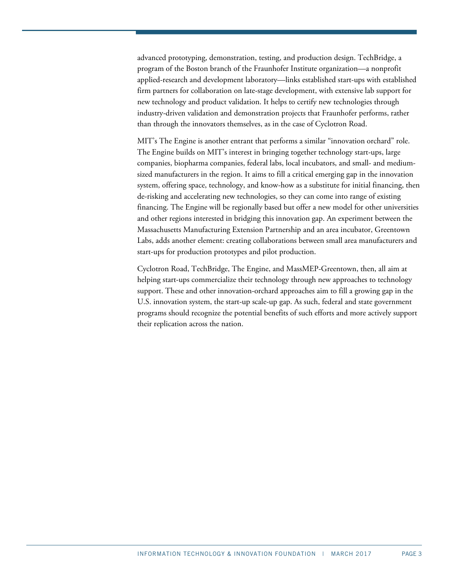advanced prototyping, demonstration, testing, and production design. TechBridge, a program of the Boston branch of the Fraunhofer Institute organization—a nonprofit applied-research and development laboratory—links established start-ups with established firm partners for collaboration on late-stage development, with extensive lab support for new technology and product validation. It helps to certify new technologies through industry-driven validation and demonstration projects that Fraunhofer performs, rather than through the innovators themselves, as in the case of Cyclotron Road.

MIT's The Engine is another entrant that performs a similar "innovation orchard" role. The Engine builds on MIT's interest in bringing together technology start-ups, large companies, biopharma companies, federal labs, local incubators, and small- and mediumsized manufacturers in the region. It aims to fill a critical emerging gap in the innovation system, offering space, technology, and know-how as a substitute for initial financing, then de-risking and accelerating new technologies, so they can come into range of existing financing. The Engine will be regionally based but offer a new model for other universities and other regions interested in bridging this innovation gap. An experiment between the Massachusetts Manufacturing Extension Partnership and an area incubator, Greentown Labs, adds another element: creating collaborations between small area manufacturers and start-ups for production prototypes and pilot production.

Cyclotron Road, TechBridge, The Engine, and MassMEP-Greentown, then, all aim at helping start-ups commercialize their technology through new approaches to technology support. These and other innovation-orchard approaches aim to fill a growing gap in the U.S. innovation system, the start-up scale-up gap. As such, federal and state government programs should recognize the potential benefits of such efforts and more actively support their replication across the nation.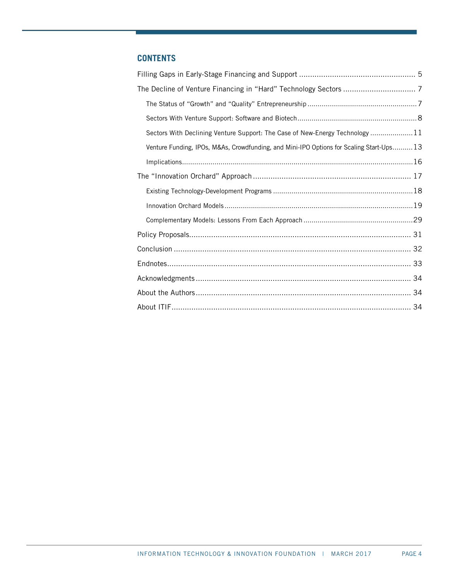## **CONTENTS**

| Sectors With Declining Venture Support: The Case of New-Energy Technology  11            |  |
|------------------------------------------------------------------------------------------|--|
| Venture Funding, IPOs, M&As, Crowdfunding, and Mini-IPO Options for Scaling Start-Ups 13 |  |
|                                                                                          |  |
|                                                                                          |  |
|                                                                                          |  |
|                                                                                          |  |
|                                                                                          |  |
|                                                                                          |  |
|                                                                                          |  |
|                                                                                          |  |
|                                                                                          |  |
|                                                                                          |  |
|                                                                                          |  |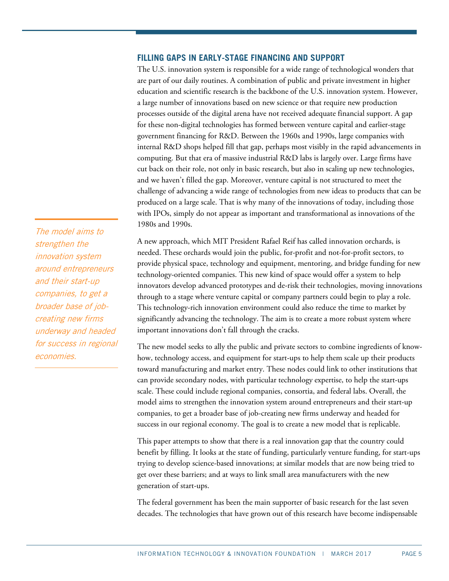## <span id="page-4-0"></span>**FILLING GAPS IN EARLY-STAGE FINANCING AND SUPPORT**

The U.S. innovation system is responsible for a wide range of technological wonders that are part of our daily routines. A combination of public and private investment in higher education and scientific research is the backbone of the U.S. innovation system. However, a large number of innovations based on new science or that require new production processes outside of the digital arena have not received adequate financial support. A gap for these non-digital technologies has formed between venture capital and earlier-stage government financing for R&D. Between the 1960s and 1990s, large companies with internal R&D shops helped fill that gap, perhaps most visibly in the rapid advancements in computing. But that era of massive industrial R&D labs is largely over. Large firms have cut back on their role, not only in basic research, but also in scaling up new technologies, and we haven't filled the gap. Moreover, venture capital is not structured to meet the challenge of advancing a wide range of technologies from new ideas to products that can be produced on a large scale. That is why many of the innovations of today, including those with IPOs, simply do not appear as important and transformational as innovations of the 1980s and 1990s.

A new approach, which MIT President Rafael Reif has called innovation orchards, is needed. These orchards would join the public, for-profit and not-for-profit sectors, to provide physical space, technology and equipment, mentoring, and bridge funding for new technology-oriented companies. This new kind of space would offer a system to help innovators develop advanced prototypes and de-risk their technologies, moving innovations through to a stage where venture capital or company partners could begin to play a role. This technology-rich innovation environment could also reduce the time to market by significantly advancing the technology. The aim is to create a more robust system where important innovations don't fall through the cracks.

The new model seeks to ally the public and private sectors to combine ingredients of knowhow, technology access, and equipment for start-ups to help them scale up their products toward manufacturing and market entry. These nodes could link to other institutions that can provide secondary nodes, with particular technology expertise, to help the start-ups scale. These could include regional companies, consortia, and federal labs. Overall, the model aims to strengthen the innovation system around entrepreneurs and their start-up companies, to get a broader base of job-creating new firms underway and headed for success in our regional economy. The goal is to create a new model that is replicable.

This paper attempts to show that there is a real innovation gap that the country could benefit by filling. It looks at the state of funding, particularly venture funding, for start-ups trying to develop science-based innovations; at similar models that are now being tried to get over these barriers; and at ways to link small area manufacturers with the new generation of start-ups.

The federal government has been the main supporter of basic research for the last seven decades. The technologies that have grown out of this research have become indispensable

The model aims to strengthen the innovation system around entrepreneurs and their start-up companies, to get a broader base of jobcreating new firms underway and headed for success in regional economies.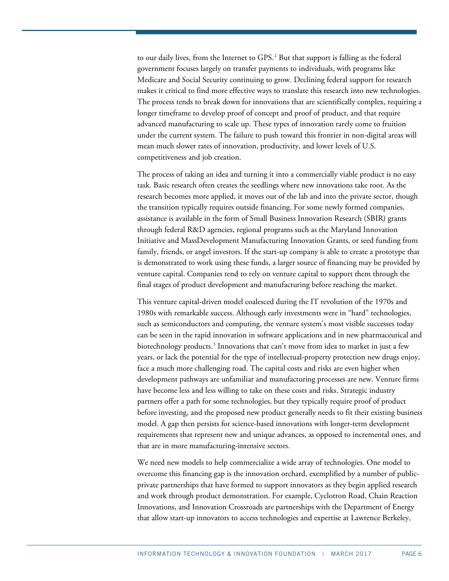to our daily lives, from the Internet to GPS. [2](#page-32-2) But that support is falling as the federal government focuses largely on transfer payments to individuals, with programs like Medicare and Social Security continuing to grow. Declining federal support for research makes it critical to find more effective ways to translate this research into new technologies. The process tends to break down for innovations that are scientifically complex, requiring a longer timeframe to develop proof of concept and proof of product, and that require advanced manufacturing to scale up. These types of innovation rarely come to fruition under the current system. The failure to push toward this frontier in non-digital areas will mean much slower rates of innovation, productivity, and lower levels of U.S. competitiveness and job creation.

The process of taking an idea and turning it into a commercially viable product is no easy task. Basic research often creates the seedlings where new innovations take root. As the research becomes more applied, it moves out of the lab and into the private sector, though the transition typically requires outside financing. For some newly formed companies, assistance is available in the form of Small Business Innovation Research (SBIR) grants through federal R&D agencies, regional programs such as the Maryland Innovation Initiative and MassDevelopment Manufacturing Innovation Grants, or seed funding from family, friends, or angel investors. If the start-up company is able to create a prototype that is demonstrated to work using these funds, a larger source of financing may be provided by venture capital. Companies tend to rely on venture capital to support them through the final stages of product development and manufacturing before reaching the market.

This venture capital-driven model coalesced during the IT revolution of the 1970s and 1980s with remarkable success. Although early investments were in "hard" technologies, such as semiconductors and computing, the venture system's most visible successes today can be seen in the rapid innovation in software applications and in new pharmaceutical and biotechnology products.<sup>[3](#page-32-3)</sup> Innovations that can't move from idea to market in just a few years, or lack the potential for the type of intellectual-property protection new drugs enjoy, face a much more challenging road. The capital costs and risks are even higher when development pathways are unfamiliar and manufacturing processes are new. Venture firms have become less and less willing to take on these costs and risks. Strategic industry partners offer a path for some technologies, but they typically require proof of product before investing, and the proposed new product generally needs to fit their existing business model. A gap then persists for science-based innovations with longer-term development requirements that represent new and unique advances, as opposed to incremental ones, and that are in more manufacturing-intensive sectors.

We need new models to help commercialize a wide array of technologies. One model to overcome this financing gap is the innovation orchard, exemplified by a number of publicprivate partnerships that have formed to support innovators as they begin applied research and work through product demonstration. For example, Cyclotron Road, Chain Reaction Innovations, and Innovation Crossroads are partnerships with the Department of Energy that allow start-up innovators to access technologies and expertise at Lawrence Berkeley,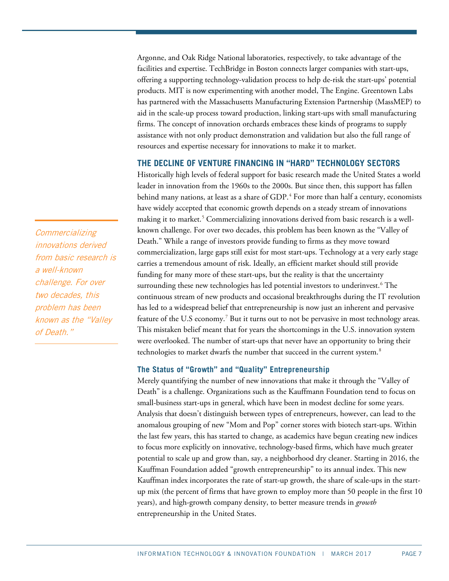Argonne, and Oak Ridge National laboratories, respectively, to take advantage of the facilities and expertise. TechBridge in Boston connects larger companies with start-ups, offering a supporting technology-validation process to help de-risk the start-ups' potential products. MIT is now experimenting with another model, The Engine. Greentown Labs has partnered with the Massachusetts Manufacturing Extension Partnership (MassMEP) to aid in the scale-up process toward production, linking start-ups with small manufacturing firms. The concept of innovation orchards embraces these kinds of programs to supply assistance with not only product demonstration and validation but also the full range of resources and expertise necessary for innovations to make it to market.

## <span id="page-6-0"></span>**THE DECLINE OF VENTURE FINANCING IN "HARD" TECHNOLOGY SECTORS**

Historically high levels of federal support for basic research made the United States a world leader in innovation from the 1960s to the 2000s. But since then, this support has fallen behind many nations, at least as a share of GDP.<sup>[4](#page-32-4)</sup> For more than half a century, economists have widely accepted that economic growth depends on a steady stream of innovations making it to market.<sup>[5](#page-32-5)</sup> Commercializing innovations derived from basic research is a wellknown challenge. For over two decades, this problem has been known as the "Valley of Death." While a range of investors provide funding to firms as they move toward commercialization, large gaps still exist for most start-ups. Technology at a very early stage carries a tremendous amount of risk. Ideally, an efficient market should still provide funding for many more of these start-ups, but the reality is that the uncertainty surrounding these new technologies has led potential investors to underinvest.<sup>[6](#page-32-6)</sup> The continuous stream of new products and occasional breakthroughs during the IT revolution has led to a widespread belief that entrepreneurship is now just an inherent and pervasive feature of the U.S economy.<sup>7</sup> But it turns out to not be pervasive in most technology areas. This mistaken belief meant that for years the shortcomings in the U.S. innovation system were overlooked. The number of start-ups that never have an opportunity to bring their technologies to market dwarfs the number that succeed in the current system.<sup>[8](#page-32-8)</sup>

## <span id="page-6-1"></span>**The Status of "Growth" and "Quality" Entrepreneurship**

Merely quantifying the number of new innovations that make it through the "Valley of Death" is a challenge. Organizations such as the Kauffmann Foundation tend to focus on small-business start-ups in general, which have been in modest decline for some years. Analysis that doesn't distinguish between types of entrepreneurs, however, can lead to the anomalous grouping of new "Mom and Pop" corner stores with biotech start-ups. Within the last few years, this has started to change, as academics have begun creating new indices to focus more explicitly on innovative, technology-based firms, which have much greater potential to scale up and grow than, say, a neighborhood dry cleaner. Starting in 2016, the Kauffman Foundation added "growth entrepreneurship" to its annual index. This new Kauffman index incorporates the rate of start-up growth, the share of scale-ups in the startup mix (the percent of firms that have grown to employ more than 50 people in the first 10 years), and high-growth company density, to better measure trends in *growth* entrepreneurship in the United States.

**Commercializing** innovations derived from basic research is a well-known challenge. For over two decades, this problem has been known as the "Valley of Death."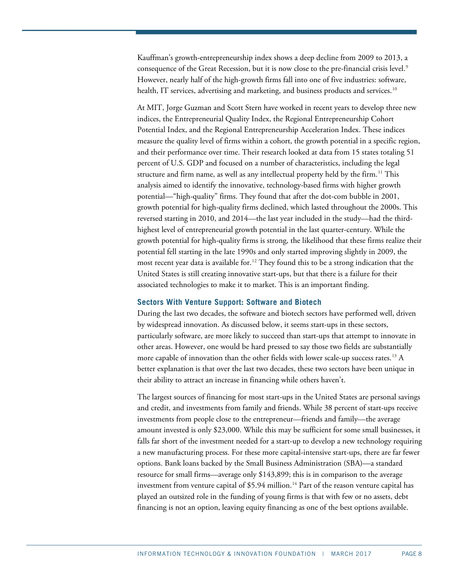Kauffman's growth-entrepreneurship index shows a deep decline from 2009 to 2013, a consequence of the Great Recession, but it is now close to the pre-financial crisis level.<sup>[9](#page-32-9)</sup> However, nearly half of the high-growth firms fall into one of five industries: software, health, IT services, advertising and marketing, and business products and services.<sup>[10](#page-32-10)</sup>

At MIT, Jorge Guzman and Scott Stern have worked in recent years to develop three new indices, the Entrepreneurial Quality Index, the Regional Entrepreneurship Cohort Potential Index, and the Regional Entrepreneurship Acceleration Index. These indices measure the quality level of firms within a cohort, the growth potential in a specific region, and their performance over time. Their research looked at data from 15 states totaling 51 percent of U.S. GDP and focused on a number of characteristics, including the legal structure and firm name, as well as any intellectual property held by the firm.<sup>[11](#page-32-11)</sup> This analysis aimed to identify the innovative, technology-based firms with higher growth potential—"high-quality" firms. They found that after the dot-com bubble in 2001, growth potential for high-quality firms declined, which lasted throughout the 2000s. This reversed starting in 2010, and 2014—the last year included in the study—had the thirdhighest level of entrepreneurial growth potential in the last quarter-century. While the growth potential for high-quality firms is strong, the likelihood that these firms realize their potential fell starting in the late 1990s and only started improving slightly in 2009, the most recent year data is available for.<sup>[12](#page-32-12)</sup> They found this to be a strong indication that the United States is still creating innovative start-ups, but that there is a failure for their associated technologies to make it to market. This is an important finding.

#### <span id="page-7-0"></span>**Sectors With Venture Support: Software and Biotech**

During the last two decades, the software and biotech sectors have performed well, driven by widespread innovation. As discussed below, it seems start-ups in these sectors, particularly software, are more likely to succeed than start-ups that attempt to innovate in other areas. However, one would be hard pressed to say those two fields are substantially more capable of innovation than the other fields with lower scale-up success rates.<sup>[13](#page-32-13)</sup> A better explanation is that over the last two decades, these two sectors have been unique in their ability to attract an increase in financing while others haven't.

The largest sources of financing for most start-ups in the United States are personal savings and credit, and investments from family and friends. While 38 percent of start-ups receive investments from people close to the entrepreneur—friends and family—the average amount invested is only \$23,000. While this may be sufficient for some small businesses, it falls far short of the investment needed for a start-up to develop a new technology requiring a new manufacturing process. For these more capital-intensive start-ups, there are far fewer options. Bank loans backed by the Small Business Administration (SBA)—a standard resource for small firms—average only \$143,899; this is in comparison to the average investment from venture capital of  $$5.94$  million.<sup>[14](#page-32-14)</sup> Part of the reason venture capital has played an outsized role in the funding of young firms is that with few or no assets, debt financing is not an option, leaving equity financing as one of the best options available.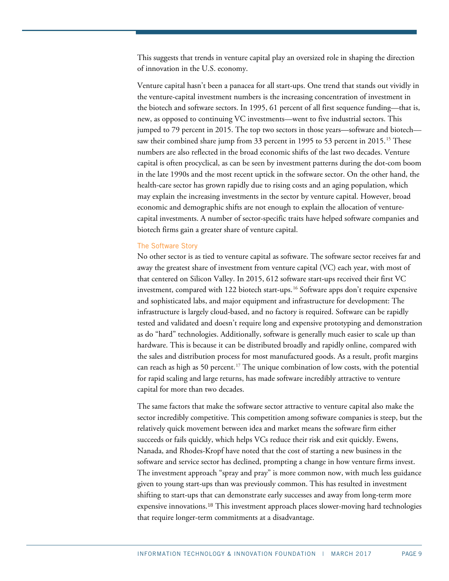This suggests that trends in venture capital play an oversized role in shaping the direction of innovation in the U.S. economy.

Venture capital hasn't been a panacea for all start-ups. One trend that stands out vividly in the venture-capital investment numbers is the increasing concentration of investment in the biotech and software sectors. In 1995, 61 percent of all first sequence funding—that is, new, as opposed to continuing VC investments—went to five industrial sectors. This jumped to 79 percent in 2015. The top two sectors in those years—software and biotech— saw their combined share jump from 33 percent in 1995 to 53 percent in 20[15](#page-32-15).<sup>15</sup> These numbers are also reflected in the broad economic shifts of the last two decades. Venture capital is often procyclical, as can be seen by investment patterns during the dot-com boom in the late 1990s and the most recent uptick in the software sector. On the other hand, the health-care sector has grown rapidly due to rising costs and an aging population, which may explain the increasing investments in the sector by venture capital. However, broad economic and demographic shifts are not enough to explain the allocation of venturecapital investments. A number of sector-specific traits have helped software companies and biotech firms gain a greater share of venture capital.

#### The Software Story

No other sector is as tied to venture capital as software. The software sector receives far and away the greatest share of investment from venture capital (VC) each year, with most of that centered on Silicon Valley. In 2015, 612 software start-ups received their first VC investment, compared with 122 biotech start-ups.<sup>[16](#page-32-16)</sup> Software apps don't require expensive and sophisticated labs, and major equipment and infrastructure for development: The infrastructure is largely cloud-based, and no factory is required. Software can be rapidly tested and validated and doesn't require long and expensive prototyping and demonstration as do "hard" technologies. Additionally, software is generally much easier to scale up than hardware. This is because it can be distributed broadly and rapidly online, compared with the sales and distribution process for most manufactured goods. As a result, profit margins can reach as high as 50 percent. [17](#page-32-17) The unique combination of low costs, with the potential for rapid scaling and large returns, has made software incredibly attractive to venture capital for more than two decades.

The same factors that make the software sector attractive to venture capital also make the sector incredibly competitive. This competition among software companies is steep, but the relatively quick movement between idea and market means the software firm either succeeds or fails quickly, which helps VCs reduce their risk and exit quickly. Ewens, Nanada, and Rhodes-Kropf have noted that the cost of starting a new business in the software and service sector has declined, prompting a change in how venture firms invest. The investment approach "spray and pray" is more common now, with much less guidance given to young start-ups than was previously common. This has resulted in investment shifting to start-ups th[at](#page-33-0) can demonstrate early successes and away from long-term more expensive innovations.<sup>18</sup> This investment approach places slower-moving hard technologies that require longer-term commitments at a disadvantage.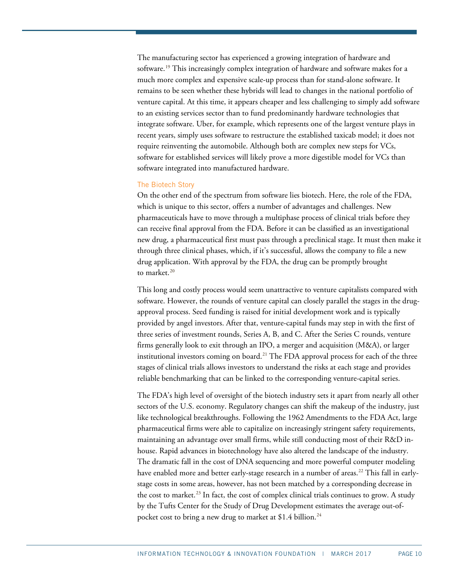The manufacturing sector has experienced a growing integration of hardware and software.<sup>[19](#page-33-1)</sup> This increasingly complex integration of hardware and software makes for a much more complex and expensive scale-up process than for stand-alone software. It remains to be seen whether these hybrids will lead to changes in the national portfolio of venture capital. At this time, it appears cheaper and less challenging to simply add software to an existing services sector than to fund predominantly hardware technologies that integrate software. Uber, for example, which represents one of the largest venture plays in recent years, simply uses software to restructure the established taxicab model; it does not require reinventing the automobile. Although both are complex new steps for VCs, software for established services will likely prove a more digestible model for VCs than software integrated into manufactured hardware.

#### The Biotech Story

On the other end of the spectrum from software lies biotech. Here, the role of the FDA, which is unique to this sector, offers a number of advantages and challenges. New pharmaceuticals have to move through a multiphase process of clinical trials before they can receive final approval from the FDA. Before it can be classified as an investigational new drug, a pharmaceutical first must pass through a preclinical stage. It must then make it through three clinical phases, which, if it's successful, allows the company to file a new drug application. With approval by the FDA, the drug can be promptly brought to market.<sup>[20](#page-33-2)</sup>

This long and costly process would seem unattractive to venture capitalists compared with software. However, the rounds of venture capital can closely parallel the stages in the drugapproval process. Seed funding is raised for initial development work and is typically provided by angel investors. After that, venture-capital funds may step in with the first of three series of investment rounds, Series A, B, and C. After the Series C rounds, venture firms generally look to exit through an IPO, a merger and acquisition (M&A), or larger institutional investors coming on board.<sup>[21](#page-33-3)</sup> The FDA approval process for each of the three stages of clinical trials allows investors to understand the risks at each stage and provides reliable benchmarking that can be linked to the corresponding venture-capital series.

The FDA's high level of oversight of the biotech industry sets it apart from nearly all other sectors of the U.S. economy. Regulatory changes can shift the makeup of the industry, just like technological breakthroughs. Following the 1962 Amendments to the FDA Act, large pharmaceutical firms were able to capitalize on increasingly stringent safety requirements, maintaining an advantage over small firms, while still conducting most of their R&D inhouse. Rapid advances in biotechnology have also altered the landscape of the industry. The dramatic fall in the cost of DNA sequencing and more powerful computer modeling have enabled more and better early-stage research in a number of areas.<sup>[22](#page-33-4)</sup> This fall in earlystage costs in some areas, however, has not been matched by a corresponding decrease in the cost to market.<sup>[23](#page-33-5)</sup> In fact, the cost of complex clinical trials continues to grow. A study by the Tufts Center for the Study of Drug Development estimates the average out-of-pocket cost to bring a new drug to market at \$1.4 billion.<sup>[24](#page-33-6)</sup>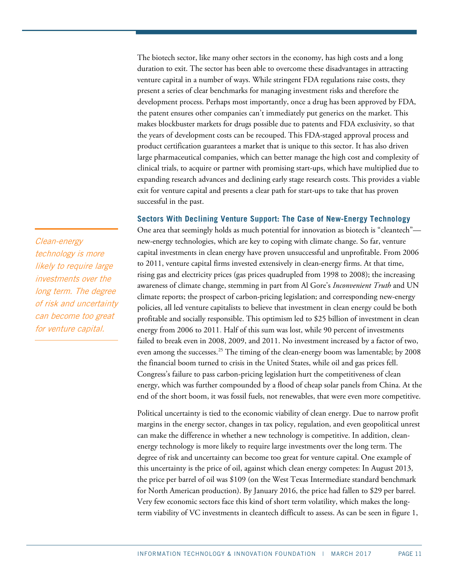The biotech sector, like many other sectors in the economy, has high costs and a long duration to exit. The sector has been able to overcome these disadvantages in attracting venture capital in a number of ways. While stringent FDA regulations raise costs, they present a series of clear benchmarks for managing investment risks and therefore the development process. Perhaps most importantly, once a drug has been approved by FDA, the patent ensures other companies can't immediately put generics on the market. This makes blockbuster markets for drugs possible due to patents and FDA exclusivity, so that the years of development costs can be recouped. This FDA-staged approval process and product certification guarantees a market that is unique to this sector. It has also driven large pharmaceutical companies, which can better manage the high cost and complexity of clinical trials, to acquire or partner with promising start-ups, which have multiplied due to expanding research advances and declining early stage research costs. This provides a viable exit for venture capital and presents a clear path for start-ups to take that has proven successful in the past.

#### **Sectors With Declining Venture Support: The Case of New-Energy Technology**

One area that seemingly holds as much potential for innovation as biotech is "cleantech" new-energy technologies, which are key to coping with climate change. So far, venture capital investments in clean energy have proven unsuccessful and unprofitable. From 2006 to 2011, venture capital firms invested extensively in clean-energy firms. At that time, rising gas and electricity prices (gas prices quadrupled from 1998 to 2008); the increasing awareness of climate change, stemming in part from Al Gore's *Inconvenient Truth* and UN climate reports; the prospect of carbon-pricing legislation; and corresponding new-energy policies, all led venture capitalists to believe that investment in clean energy could be both profitable and socially responsible. This optimism led to \$25 billion of investment in clean energy from 2006 to 2011. Half of this sum was lost, while 90 percent of investments failed to break even in 2008, 2009, and 2011. No investment increased by a factor of two, even among the successes. [25](#page-33-7) The timing of the clean-energy boom was lamentable; by 2008 the financial boom turned to crisis in the United States, while oil and gas prices fell. Congress's failure to pass carbon-pricing legislation hurt the competitiveness of clean energy, which was further compounded by a flood of cheap solar panels from China. At the end of the short boom, it was fossil fuels, not renewables, that were even more competitive.

Political uncertainty is tied to the economic viability of clean energy. Due to narrow profit margins in the energy sector, changes in tax policy, regulation, and even geopolitical unrest can make the difference in whether a new technology is competitive. In addition, cleanenergy technology is more likely to require large investments over the long term. The degree of risk and uncertainty can become too great for venture capital. One example of this uncertainty is the price of oil, against which clean energy competes: In August 2013, the price per barrel of oil was \$109 (on the West Texas Intermediate standard benchmark for North American production). By January 2016, the price had fallen to \$29 per barrel. Very few economic sectors face this kind of short term volatility, which makes the longterm viability of VC investments in cleantech difficult to assess. As can be seen in [figure 1,](#page-11-0)

Clean-energy technology is more likely to require large investments over the long term. The degree of risk and uncertainty can become too great for venture capital.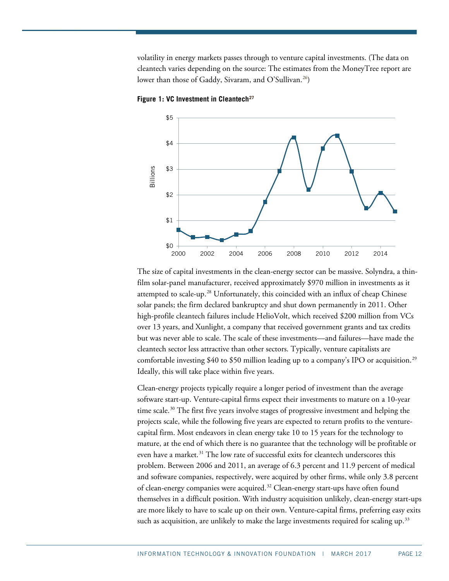volatility in energy markets passes through to venture capital investments. (The data on cleantech varies depending on the source: The estimates from the MoneyTree report are lower than those of Gaddy, Sivaram, and O'Sullivan.<sup>[26](#page-33-8)</sup>)



<span id="page-11-0"></span>**Figure 1: VC Investment in Cleantech[27](#page-33-9)**

The size of capital investments in the clean-energy sector can be massive. Solyndra, a thinfilm solar-panel manufacturer, received approximately \$970 million in investments as it attempted to scale-up.<sup>[28](#page-33-10)</sup> Unfortunately, this coincided with an influx of cheap Chinese solar panels; the firm declared bankruptcy and shut down permanently in 2011. Other high-profile cleantech failures include HelioVolt, which received \$200 million from VCs over 13 years, and Xunlight, a company that received government grants and tax credits but was never able to scale. The scale of these investments—and failures—have made the cleantech sector less attractive than other sectors. Typically, venture capitalists are comfortable investing \$40 to \$50 million leading up to a company's IPO or acquisition.<sup>[29](#page-33-11)</sup> Ideally, this will take place within five years.

Clean-energy projects typically require a longer period of investment than the average software start-up. Venture-capital firms expect their investments to mature on a 10-year time scale.<sup>[30](#page-33-12)</sup> The first five years involve stages of progressive investment and helping the projects scale, while the following five years are expected to return profits to the venturecapital firm. Most endeavors in clean energy take 10 to 15 years for the technology to mature, at the end of which there is no guarantee that the technology will be profitable or even have a market.<sup>[31](#page-33-13)</sup> The low rate of successful exits for cleantech underscores this problem. Between 2006 and 2011, an average of 6.3 percent and 11.9 percent of medical and software companies, respectively, were acquired by other firms, while only 3.8 percent of clean-energy companies were acquired.<sup>[32](#page-33-14)</sup> Clean-energy start-ups have often found themselves in a difficult position. With industry acquisition unlikely, clean-energy start-ups are more likely to have to scale up on their own. Venture-capital firms, preferring easy exits such as acquisition, are unlikely to make the large investments required for scaling up.<sup>[33](#page-33-15)</sup>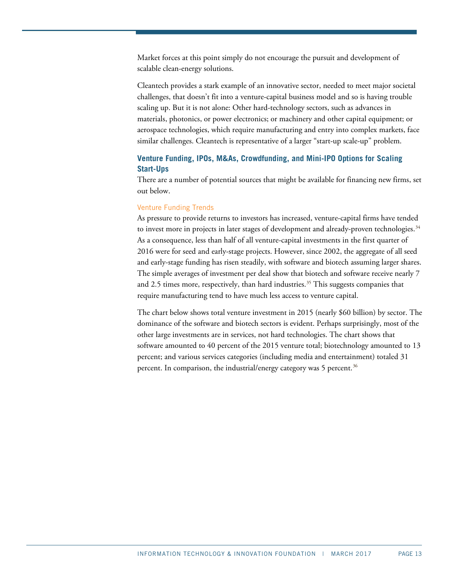Market forces at this point simply do not encourage the pursuit and development of scalable clean-energy solutions.

Cleantech provides a stark example of an innovative sector, needed to meet major societal challenges, that doesn't fit into a venture-capital business model and so is having trouble scaling up. But it is not alone: Other hard-technology sectors, such as advances in materials, photonics, or power electronics; or machinery and other capital equipment; or aerospace technologies, which require manufacturing and entry into complex markets, face similar challenges. Cleantech is representative of a larger "start-up scale-up" problem.

## <span id="page-12-0"></span>**Venture Funding, IPOs, M&As, Crowdfunding, and Mini-IPO Options for Scaling Start-Ups**

There are a number of potential sources that might be available for financing new firms, set out below.

## Venture Funding Trends

As pressure to provide returns to investors has increased, venture-capital firms have tended to invest more in projects in later stages of development and already-proven technologies.<sup>[34](#page-33-16)</sup> As a consequence, less than half of all venture-capital investments in the first quarter of 2016 were for seed and early-stage projects. However, since 2002, the aggregate of all seed and early-stage funding has risen steadily, with software and biotech assuming larger shares. The simple averages of investment per deal show that biotech and software receive nearly 7 and 2.5 times more, respectively, than hard industries.<sup>[35](#page-33-17)</sup> This suggests companies that require manufacturing tend to have much less access to venture capital.

The chart below shows total venture investment in 2015 (nearly \$60 billion) by sector. The dominance of the software and biotech sectors is evident. Perhaps surprisingly, most of the other large investments are in services, not hard technologies. The chart shows that software amounted to 40 percent of the 2015 venture total; biotechnology amounted to 13 percent; and various services categories (including media and entertainment) totaled 31 percent. In comparison, the industrial/energy category was 5 percent.<sup>[36](#page-33-18)</sup>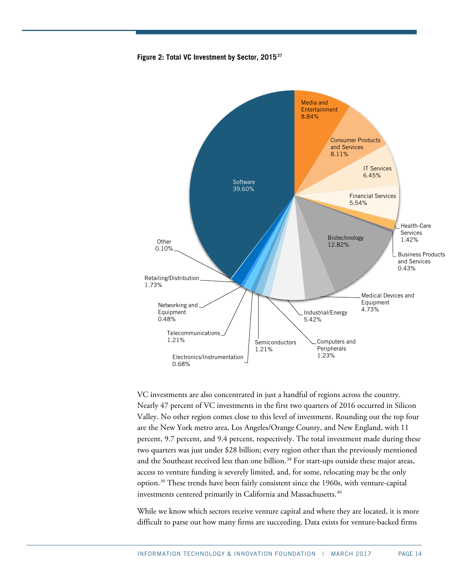



VC investments are also concentrated in just a handful of regions across the country. Nearly 47 percent of VC investments in the first two quarters of 2016 occurred in Silicon Valley. No other region comes close to this level of investment. Rounding out the top four are the New York metro area, Los Angeles/Orange County, and New England, with 11 percent, 9.7 percent, and 9.4 percent, respectively. The total investment made during these two quarters was just under \$28 billion; every region other than the previously mentioned and the Southeast received less than one billion.<sup>[38](#page-34-1)</sup> For start-ups outside these major areas, access to venture funding is severely limited, and, for some, relocating may be the only option.[39](#page-34-2) These trends have been fairly consistent since the 1960s, with venture-capital investments centered primarily in California and Massachusetts.<sup>[40](#page-34-3)</sup>

While we know which sectors receive venture capital and where they are located, it is more difficult to parse out how many firms are succeeding. Data exists for venture-backed firms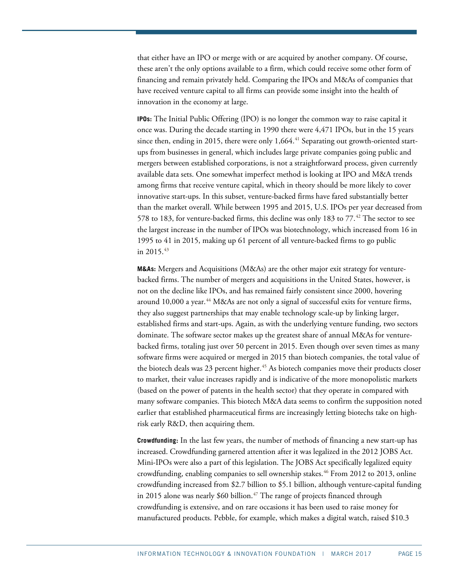that either have an IPO or merge with or are acquired by another company. Of course, these aren't the only options available to a firm, which could receive some other form of financing and remain privately held. Comparing the IPOs and M&As of companies that have received venture capital to all firms can provide some insight into the health of innovation in the economy at large.

**IPOs:** The Initial Public Offering (IPO) is no longer the common way to raise capital it once was. During the decade starting in 1990 there were 4,471 IPOs, but in the 15 years since then, ending in 2015, there were only  $1,664$ .<sup>[41](#page-34-4)</sup> Separating out growth-oriented startups from businesses in general, which includes large private companies going public and mergers between established corporations, is not a straightforward process, given currently available data sets. One somewhat imperfect method is looking at IPO and M&A trends among firms that receive venture capital, which in theory should be more likely to cover innovative start-ups. In this subset, venture-backed firms have fared substantially better than the market overall. While between 1995 and 2015, U.S. IPOs per year decreased from 578 to 183, for venture-backed firms, this decline was only 183 to 77. $^{42}$  $^{42}$  $^{42}$  The sector to see the largest increase in the number of IPOs was biotechnology, which increased from 16 in 1995 to 41 in 2015, making up 61 percent of all venture-backed firms to go public in 2015. $43$ 

**M&As:** Mergers and Acquisitions (M&As) are the other major exit strategy for venturebacked firms. The number of mergers and acquisitions in the United States, however, is not on the decline like IPOs, and has remained fairly consistent since 2000, hovering around 10,000 a year.<sup>[44](#page-34-7)</sup> M&As are not only a signal of successful exits for venture firms, they also suggest partnerships that may enable technology scale-up by linking larger, established firms and start-ups. Again, as with the underlying venture funding, two sectors dominate. The software sector makes up the greatest share of annual M&As for venturebacked firms, totaling just over 50 percent in 2015. Even though over seven times as many software firms were acquired or merged in 2015 than biotech companies, the total value of the biotech deals was 23 percent higher.<sup>[45](#page-34-8)</sup> As biotech companies move their products closer to market, their value increases rapidly and is indicative of the more monopolistic markets (based on the power of patents in the health sector) that they operate in compared with many software companies. This biotech M&A data seems to confirm the supposition noted earlier that established pharmaceutical firms are increasingly letting biotechs take on highrisk early R&D, then acquiring them.

**Crowdfunding:** In the last few years, the number of methods of financing a new start-up has increased. Crowdfunding garnered attention after it was legalized in the 2012 JOBS Act. Mini-IPOs were also a part of this legislation. The JOBS Act specifically legalized equity crowdfunding, enabling companies to sell ownership stakes.[46](#page-34-9) From 2012 to 2013, online crowdfunding increased from \$2.7 billion to \$5.1 billion, although venture-capital funding in 2015 alone was nearly \$60 billion. $47$  The range of projects financed through crowdfunding is extensive, and on rare occasions it has been used to raise money for manufactured products. Pebble, for example, which makes a digital watch, raised \$10.3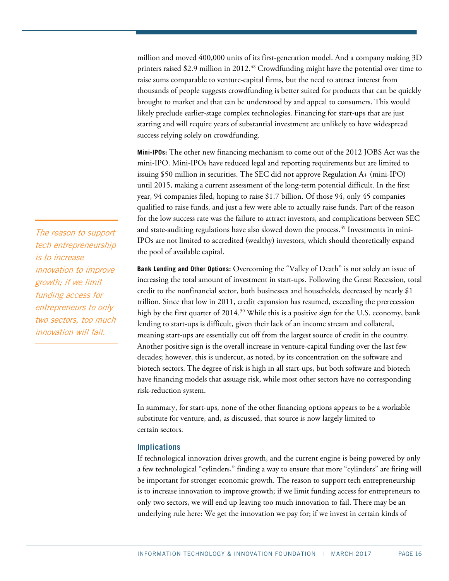million and moved 400,000 units of its first-generation model. And a company making 3D printers raised \$2.9 million in 2012.<sup>[48](#page-34-11)</sup> Crowdfunding might have the potential over time to raise sums comparable to venture-capital firms, but the need to attract interest from thousands of people suggests crowdfunding is better suited for products that can be quickly brought to market and that can be understood by and appeal to consumers. This would likely preclude earlier-stage complex technologies. Financing for start-ups that are just starting and will require years of substantial investment are unlikely to have widespread success relying solely on crowdfunding.

**Mini-IPOs:** The other new financing mechanism to come out of the 2012 JOBS Act was the mini-IPO. Mini-IPOs have reduced legal and reporting requirements but are limited to issuing \$50 million in securities. The SEC did not approve Regulation A+ (mini-IPO) until 2015, making a current assessment of the long-term potential difficult. In the first year, 94 companies filed, hoping to raise \$1.7 billion. Of those 94, only 45 companies qualified to raise funds, and just a few were able to actually raise funds. Part of the reason for the low success rate was the failure to attract investors, and complications between SEC and state-auditing regulations have also slowed down the process.<sup>[49](#page-34-12)</sup> Investments in mini-IPOs are not limited to accredited (wealthy) investors, which should theoretically expand the pool of available capital.

**Bank Lending and Other Options:** Overcoming the "Valley of Death" is not solely an issue of increasing the total amount of investment in start-ups. Following the Great Recession, total credit to the nonfinancial sector, both businesses and households, decreased by nearly \$1 trillion. Since that low in 2011, credit expansion has resumed, exceeding the prerecession high by the first quarter of  $2014$ .<sup>50</sup> While this is a positive sign for the U.S. economy, bank lending to start-ups is difficult, given their lack of an income stream and collateral, meaning start-ups are essentially cut off from the largest source of credit in the country. Another positive sign is the overall increase in venture-capital funding over the last few decades; however, this is undercut, as noted, by its concentration on the software and biotech sectors. The degree of risk is high in all start-ups, but both software and biotech have financing models that assuage risk, while most other sectors have no corresponding risk-reduction system.

In summary, for start-ups, none of the other financing options appears to be a workable substitute for venture, and, as discussed, that source is now largely limited to certain sectors.

#### <span id="page-15-0"></span>**Implications**

If technological innovation drives growth, and the current engine is being powered by only a few technological "cylinders," finding a way to ensure that more "cylinders" are firing will be important for stronger economic growth. The reason to support tech entrepreneurship is to increase innovation to improve growth; if we limit funding access for entrepreneurs to only two sectors, we will end up leaving too much innovation to fail. There may be an underlying rule here: We get the innovation we pay for; if we invest in certain kinds of

The reason to support tech entrepreneurship is to increase innovation to improve growth; if we limit funding access for entrepreneurs to only two sectors, too much innovation will fail.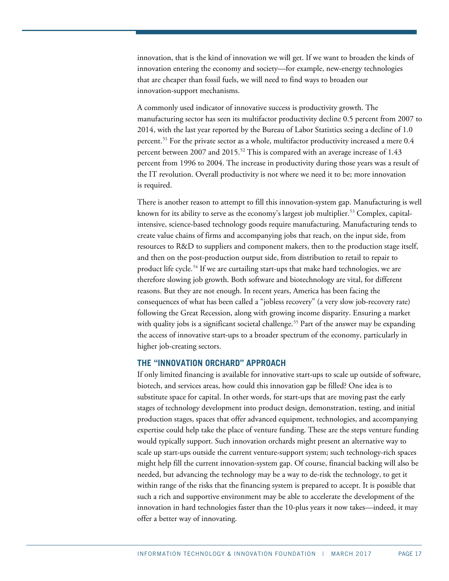innovation, that is the kind of innovation we will get. If we want to broaden the kinds of innovation entering the economy and society—for example, new-energy technologies that are cheaper than fossil fuels, we will need to find ways to broaden our innovation-support mechanisms.

A commonly used indicator of innovative success is productivity growth. The manufacturing sector has seen its multifactor productivity decline 0.5 percent from 2007 to 2014, with the last year reported by the Bureau of Labor Statistics seeing a decline of 1.0 percent. [51](#page-34-14) For the private sector as a whole, multifactor productivity increased a mere 0.4 percent between 2007 and 2015.<sup>[52](#page-34-15)</sup> This is compared with an average increase of 1.43 percent from 1996 to 2004. The increase in productivity during those years was a result of the IT revolution. Overall productivity is not where we need it to be; more innovation is required.

There is another reason to attempt to fill this innovation-system gap. Manufacturing is well known for its ability to serve as the economy's largest job multiplier.<sup>[53](#page-34-16)</sup> Complex, capitalintensive, science-based technology goods require manufacturing. Manufacturing tends to create value chains of firms and accompanying jobs that reach, on the input side, from resources to R&D to suppliers and component makers, then to the production stage itself, and then on the post-production output side, from distribution to retail to repair to product life cycle.<sup>[54](#page-34-17)</sup> If we are curtailing start-ups that make hard technologies, we are therefore slowing job growth. Both software and biotechnology are vital, for different reasons. But they are not enough. In recent years, America has been facing the consequences of what has been called a "jobless recovery" (a very slow job-recovery rate) following the Great Recession, along with growing income disparity. Ensuring a market with quality jobs is a significant societal challenge.<sup>[55](#page-34-18)</sup> Part of the answer may be expanding the access of innovative start-ups to a broader spectrum of the economy, particularly in higher job-creating sectors.

### **THE "INNOVATION ORCHARD" APPROACH**

If only limited financing is available for innovative start-ups to scale up outside of software, biotech, and services areas, how could this innovation gap be filled? One idea is to substitute space for capital. In other words, for start-ups that are moving past the early stages of technology development into product design, demonstration, testing, and initial production stages, spaces that offer advanced equipment, technologies, and accompanying expertise could help take the place of venture funding. These are the steps venture funding would typically support. Such innovation orchards might present an alternative way to scale up start-ups outside the current venture-support system; such technology-rich spaces might help fill the current innovation-system gap. Of course, financial backing will also be needed, but advancing the technology may be a way to de-risk the technology, to get it within range of the risks that the financing system is prepared to accept. It is possible that such a rich and supportive environment may be able to accelerate the development of the innovation in hard technologies faster than the 10-plus years it now takes—indeed, it may offer a better way of innovating.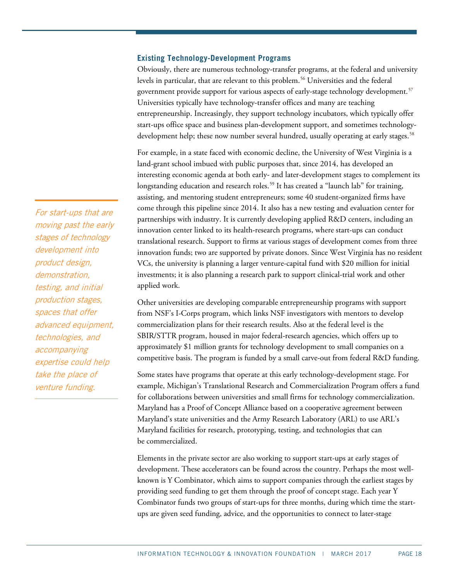#### <span id="page-17-0"></span>**Existing Technology-Development Programs**

Obviously, there are numerous technology-transfer programs, at the federal and university levels in particular, that are relevant to this problem.<sup>[56](#page-34-19)</sup> Universities and the federal government provide support for various aspects of early-stage technology development.[57](#page-34-20) Universities typically have technology-transfer offices and many are teaching entrepreneurship. Increasingly, they support technology incubators, which typically offer start-ups office space and business plan-development support, and sometimes technology-development help; these now number several hundred, usually operating at early stages.<sup>[58](#page-35-0)</sup>

For example, in a state faced with economic decline, the University of West Virginia is a land-grant school imbued with public purposes that, since 2014, has developed an interesting economic agenda at both early- and later-development stages to complement its longstanding education and research roles.<sup>[59](#page-35-1)</sup> It has created a "launch lab" for training, assisting, and mentoring student entrepreneurs; some 40 student-organized firms have come through this pipeline since 2014. It also has a new testing and evaluation center for partnerships with industry. It is currently developing applied R&D centers, including an innovation center linked to its health-research programs, where start-ups can conduct translational research. Support to firms at various stages of development comes from three innovation funds; two are supported by private donors. Since West Virginia has no resident VCs, the university is planning a larger venture-capital fund with \$20 million for initial investments; it is also planning a research park to support clinical-trial work and other applied work.

Other universities are developing comparable entrepreneurship programs with support from NSF's I-Corps program, which links NSF investigators with mentors to develop commercialization plans for their research results. Also at the federal level is the SBIR/STTR program, housed in major federal-research agencies, which offers up to approximately \$1 million grants for technology development to small companies on a competitive basis. The program is funded by a small carve-out from federal R&D funding.

Some states have programs that operate at this early technology-development stage. For example, Michigan's Translational Research and Commercialization Program offers a fund for collaborations between universities and small firms for technology commercialization. Maryland has a Proof of Concept Alliance based on a cooperative agreement between Maryland's state universities and the Army Research Laboratory (ARL) to use ARL's Maryland facilities for research, prototyping, testing, and technologies that can be commercialized.

Elements in the private sector are also working to support start-ups at early stages of development. These accelerators can be found across the country. Perhaps the most wellknown is Y Combinator, which aims to support companies through the earliest stages by providing seed funding to get them through the proof of concept stage. Each year Y Combinator funds two groups of start-ups for three months, during which time the startups are given seed funding, advice, and the opportunities to connect to later-stage

For start-ups that are moving past the early stages of technology development into product design, demonstration, testing, and initial production stages, spaces that offer advanced equipment, technologies, and accompanying expertise could help take the place of venture funding.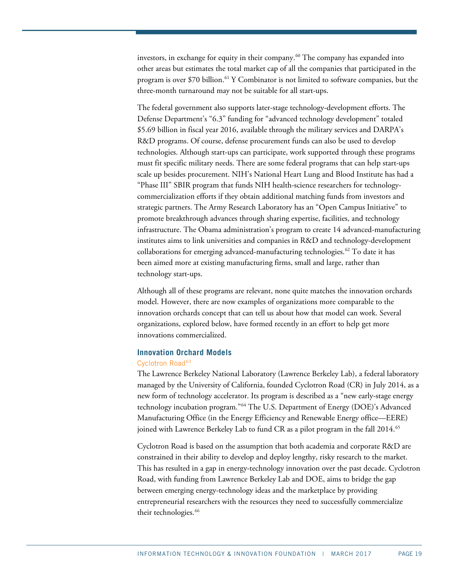investors, in exchange for equity in their company.<sup>[60](#page-35-2)</sup> The company has expanded into other areas but estimates the total market cap of all the companies that participated in the program is over \$70 billion[.61](#page-35-3) Y Combinator is not limited to software companies, but the three-month turnaround may not be suitable for all start-ups.

The federal government also supports later-stage technology-development efforts. The Defense Department's "6.3" funding for "advanced technology development" totaled \$5.69 billion in fiscal year 2016, available through the military services and DARPA's R&D programs. Of course, defense procurement funds can also be used to develop technologies. Although start-ups can participate, work supported through these programs must fit specific military needs. There are some federal programs that can help start-ups scale up besides procurement. NIH's National Heart Lung and Blood Institute has had a "Phase III" SBIR program that funds NIH health-science researchers for technologycommercialization efforts if they obtain additional matching funds from investors and strategic partners. The Army Research Laboratory has an "Open Campus Initiative" to promote breakthrough advances through sharing expertise, facilities, and technology infrastructure. The Obama administration's program to create 14 advanced-manufacturing institutes aims to link universities and companies in R&D and technology-development collaborations for emerging advanced-manufacturing technologies.<sup>[62](#page-35-4)</sup> To date it has been aimed more at existing manufacturing firms, small and large, rather than technology start-ups.

Although all of these programs are relevant, none quite matches the innovation orchards model. However, there are now examples of organizations more comparable to the innovation orchards concept that can tell us about how that model can work. Several organizations, explored below, have formed recently in an effort to help get more innovations commercialized.

### <span id="page-18-0"></span>**Innovation Orchard Models**

#### Cyclotron Road<sup>[63](#page-35-5)</sup>

The Lawrence Berkeley National Laboratory (Lawrence Berkeley Lab), a federal laboratory managed by the University of California, founded Cyclotron Road (CR) in July 2014, as a new form of technology accelerator. Its program is described as a "new early-stage energy technology incubation program."[64](#page-35-6) The U.S. Department of Energy (DOE)'s Advanced Manufacturing Office (in the Energy Efficiency and Renewable Energy office—EERE) joined with Lawrence Berkeley Lab to fund CR as a pilot program in the fall 2014.[65](#page-35-7)

Cyclotron Road is based on the assumption that both academia and corporate R&D are constrained in their ability to develop and deploy lengthy, risky research to the market. This has resulted in a gap in energy-technology innovation over the past decade. Cyclotron Road, with funding from Lawrence Berkeley Lab and DOE, aims to bridge the gap between emerging energy-technology ideas and the marketplace by providing entrepreneurial researchers with the resources they need to successfully commercialize their technologies.<sup>[66](#page-35-8)</sup>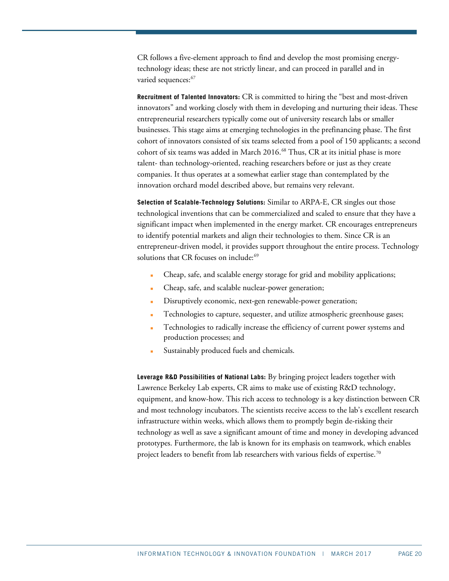CR follows a five-element approach to find and develop the most promising energytechnology ideas; these are not strictly linear, and can proceed in parallel and in varied sequences:<sup>[67](#page-35-9)</sup>

**Recruitment of Talented Innovators:** CR is committed to hiring the "best and most-driven innovators" and working closely with them in developing and nurturing their ideas. These entrepreneurial researchers typically come out of university research labs or smaller businesses. This stage aims at emerging technologies in the prefinancing phase. The first cohort of innovators consisted of six teams selected from a pool of 150 applicants; a second cohort of six teams was added in March 2016.<sup>[68](#page-35-10)</sup> Thus, CR at its initial phase is more talent- than technology-oriented, reaching researchers before or just as they create companies. It thus operates at a somewhat earlier stage than contemplated by the innovation orchard model described above, but remains very relevant.

**Selection of Scalable-Technology Solutions:** Similar to ARPA-E, CR singles out those technological inventions that can be commercialized and scaled to ensure that they have a significant impact when implemented in the energy market. CR encourages entrepreneurs to identify potential markets and align their technologies to them. Since CR is an entrepreneur-driven model, it provides support throughout the entire process. Technology solutions that CR focuses on include:<sup>69</sup>

- Cheap, safe, and scalable energy storage for grid and mobility applications;
- Cheap, safe, and scalable nuclear-power generation;
- Disruptively economic, next-gen renewable-power generation;
- Technologies to capture, sequester, and utilize atmospheric greenhouse gases;
- Technologies to radically increase the efficiency of current power systems and production processes; and
- Sustainably produced fuels and chemicals.

**Leverage R&D Possibilities of National Labs:** By bringing project leaders together with Lawrence Berkeley Lab experts, CR aims to make use of existing R&D technology, equipment, and know-how. This rich access to technology is a key distinction between CR and most technology incubators. The scientists receive access to the lab's excellent research infrastructure within weeks, which allows them to promptly begin de-risking their technology as well as save a significant amount of time and money in developing advanced prototypes. Furthermore, the lab is known for its emphasis on teamwork, which enables project leaders to benefit from lab researchers with various fields of expertise.<sup>[70](#page-35-12)</sup>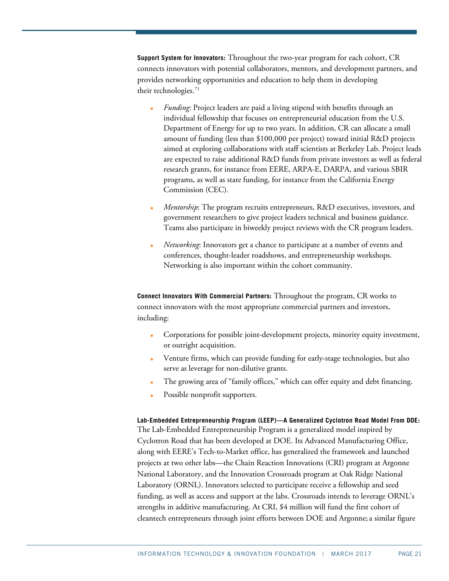**Support System for Innovators:** Throughout the two-year program for each cohort, CR connects innovators with potential collaborators, mentors, and development partners, and provides networking opportunities and education to help them in developing their technologies.<sup>[71](#page-35-13)</sup>

- *Funding*: Project leaders are paid a living stipend with benefits through an individual fellowship that focuses on entrepreneurial education from the U.S. Department of Energy for up to two years. In addition, CR can allocate a small amount of funding (less than \$100,000 per project) toward initial R&D projects aimed at exploring collaborations with staff scientists at Berkeley Lab. Project leads are expected to raise additional R&D funds from private investors as well as federal research grants, for instance from EERE, ARPA-E, DARPA, and various SBIR programs, as well as state funding, for instance from the California Energy Commission (CEC).
- *Mentorship*: The program recruits entrepreneurs, R&D executives, investors, and government researchers to give project leaders technical and business guidance. Teams also participate in biweekly project reviews with the CR program leaders.
- *Networking*: Innovators get a chance to participate at a number of events and conferences, thought-leader roadshows, and entrepreneurship workshops. Networking is also important within the cohort community.

**Connect Innovators With Commercial Partners:** Throughout the program, CR works to connect innovators with the most appropriate commercial partners and investors, including:

- Corporations for possible joint-development projects, minority equity investment, or outright acquisition.
- Venture firms, which can provide funding for early-stage technologies, but also serve as leverage for non-dilutive grants.
- The growing area of "family offices," which can offer equity and debt financing.
- Possible nonprofit supporters.

**Lab-Embedded Entrepreneurship Program (LEEP)—A Generalized Cyclotron Road Model From DOE:**  The Lab-Embedded Entrepreneurship Program is a generalized model inspired by Cyclotron Road that has been developed at DOE. Its Advanced Manufacturing Office, along with EERE's Tech-to-Market office, has generalized the framework and launched projects at two other labs—the Chain Reaction Innovations (CRI) program at Argonne National Laboratory, and the Innovation Crossroads program at Oak Ridge National Laboratory (ORNL). Innovators selected to participate receive a fellowship and seed funding, as well as access and support at the labs. Crossroads intends to leverage ORNL's strengths in additive manufacturing. At CRI, \$4 million will fund the first cohort of cleantech entrepreneurs through joint efforts between DOE and Argonne; a similar figure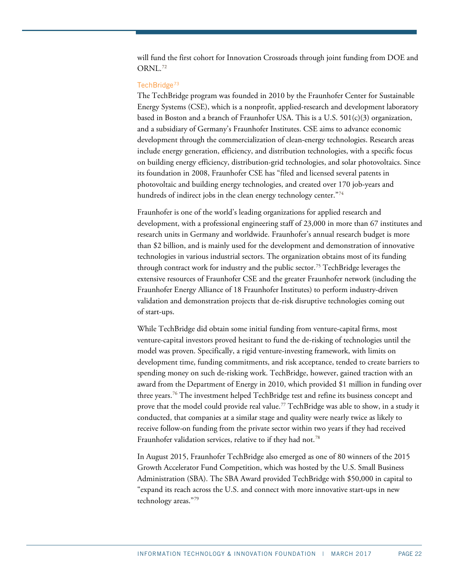will fund the first cohort for Innovation Crossroads through joint funding from DOE and ORNL.<sup>[72](#page-36-0)</sup>

#### TechBridge<sup>[73](#page-36-1)</sup>

The TechBridge program was founded in 2010 by the Fraunhofer Center for Sustainable Energy Systems (CSE), which is a nonprofit, applied-research and development laboratory based in Boston and a branch of Fraunhofer USA. This is a U.S.  $501(c)(3)$  organization, and a subsidiary of Germany's Fraunhofer Institutes. CSE aims to advance economic development through the commercialization of clean-energy technologies. Research areas include energy generation, efficiency, and distribution technologies, with a specific focus on building energy efficiency, distribution-grid technologies, and solar photovoltaics. Since its foundation in 2008, Fraunhofer CSE has "filed and licensed several patents in photovoltaic and building energy technologies, and created over 170 job-years and hundreds of indirect jobs in the clean energy technology center."[74](#page-36-2)

Fraunhofer is one of the world's leading organizations for applied research and development, with a professional engineering staff of 23,000 in more than 67 institutes and research units in Germany and worldwide. Fraunhofer's annual research budget is more than \$2 billion, and is mainly used for the development and demonstration of innovative technologies in various industrial sectors. The organization obtains most of its funding through contract work for industry and the public sector.[75](#page-36-3) TechBridge leverages the extensive resources of Fraunhofer CSE and the greater Fraunhofer network (including the Fraunhofer Energy Alliance of 18 Fraunhofer Institutes) to perform industry-driven validation and demonstration projects that de-risk disruptive technologies coming out of start-ups.

While TechBridge did obtain some initial funding from venture-capital firms, most venture-capital investors proved hesitant to fund the de-risking of technologies until the model was proven. Specifically, a rigid venture-investing framework, with limits on development time, funding commitments, and risk acceptance, tended to create barriers to spending money on such de-risking work. TechBridge, however, gained traction with an award from the Department of Energy in 2010, which provided \$1 million in funding over three years.[76](#page-36-4) The investment helped TechBridge test and refine its business concept and prove that the model could provide real value. [77](#page-36-5) TechBridge was able to show, in a study it conducted, that companies at a similar stage and quality were nearly twice as likely to receive follow-on funding from the private sector within two years if they had received Fraunhofer validation services, relative to if they had not.<sup>[78](#page-36-6)</sup>

In August 2015, Fraunhofer TechBridge also emerged as one of 80 winners of the 2015 Growth Accelerator Fund Competition, which was hosted by the U.S. Small Business Administration (SBA). The SBA Award provided TechBridge with \$50,000 in capital to "expand its reach across the U.S. and connect with more innovative start-ups in new technology areas."[79](#page-36-7)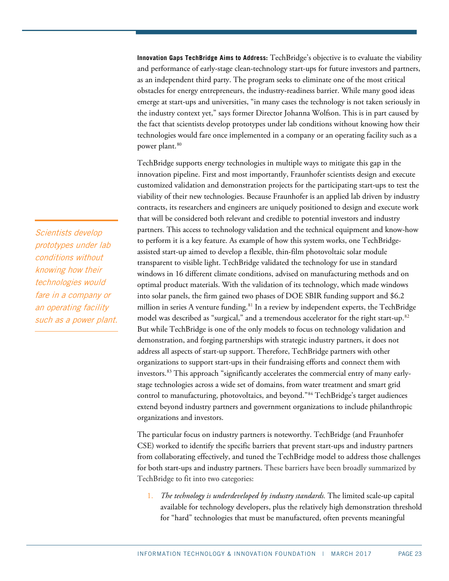**Innovation Gaps TechBridge Aims to Address:** TechBridge's objective is to evaluate the viability and performance of early-stage clean-technology start-ups for future investors and partners, as an independent third party. The program seeks to eliminate one of the most critical obstacles for energy entrepreneurs, the industry-readiness barrier. While many good ideas emerge at start-ups and universities, "in many cases the technology is not taken seriously in the industry context yet," says former Director Johanna Wolfson. This is in part caused by the fact that scientists develop prototypes under lab conditions without knowing how their technologies would fare once implemented in a company or an operating facility such as a power plant.<sup>[80](#page-36-8)</sup>

TechBridge supports energy technologies in multiple ways to mitigate this gap in the innovation pipeline. First and most importantly, Fraunhofer scientists design and execute customized validation and demonstration projects for the participating start-ups to test the viability of their new technologies. Because Fraunhofer is an applied lab driven by industry contracts, its researchers and engineers are uniquely positioned to design and execute work that will be considered both relevant and credible to potential investors and industry partners. This access to technology validation and the technical equipment and know-how to perform it is a key feature. As example of how this system works, one TechBridgeassisted start-up aimed to develop a flexible, thin-film photovoltaic solar module transparent to visible light. TechBridge validated the technology for use in standard windows in 16 different climate conditions, advised on manufacturing methods and on optimal product materials. With the validation of its technology, which made windows into solar panels, the firm gained two phases of DOE SBIR funding support and \$6.2 million in series A venture funding.<sup>81</sup> In a review by independent experts, the TechBridge model was described as "surgical," and a tremendous accelerator for the right start-up. $^{\mathrm{82}}$  $^{\mathrm{82}}$  $^{\mathrm{82}}$ But while TechBridge is one of the only models to focus on technology validation and demonstration, and forging partnerships with strategic industry partners, it does not address all aspects of start-up support. Therefore, TechBridge partners with other organizations to support start-ups in their fundraising efforts and connect them with investors. [83](#page-36-11) This approach "significantly accelerates the commercial entry of many earlystage technologies across a wide set of domains, from water treatment and smart grid control to manufacturing, photovoltaics, and beyond."[84](#page-36-12) TechBridge's target audiences extend beyond industry partners and government organizations to include philanthropic organizations and investors.

The particular focus on industry partners is noteworthy. TechBridge (and Fraunhofer CSE) worked to identify the specific barriers that prevent start-ups and industry partners from collaborating effectively, and tuned the TechBridge model to address those challenges for both start-ups and industry partners. These barriers have been broadly summarized by TechBridge to fit into two categories:

1. *The technology is underdeveloped by industry standards.* The limited scale-up capital available for technology developers, plus the relatively high demonstration threshold for "hard" technologies that must be manufactured, often prevents meaningful

Scientists develop prototypes under lab conditions without knowing how their technologies would fare in a company or an operating facility such as a power plant.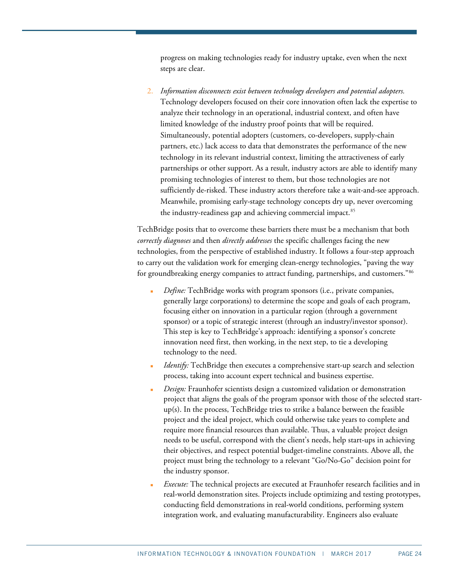progress on making technologies ready for industry uptake, even when the next steps are clear.

2. *Information disconnects exist between technology developers and potential adopters.* Technology developers focused on their core innovation often lack the expertise to analyze their technology in an operational, industrial context, and often have limited knowledge of the industry proof points that will be required. Simultaneously, potential adopters (customers, co-developers, supply-chain partners, etc.) lack access to data that demonstrates the performance of the new technology in its relevant industrial context, limiting the attractiveness of early partnerships or other support. As a result, industry actors are able to identify many promising technologies of interest to them, but those technologies are not sufficiently de-risked. These industry actors therefore take a wait-and-see approach. Meanwhile, promising early-stage technology concepts dry up, never overcoming the industry-readiness gap and achieving commercial impact.<sup>[85](#page-36-13)</sup>

TechBridge posits that to overcome these barriers there must be a mechanism that both *correctly diagnoses* and then *directly addresses* the specific challenges facing the new technologies, from the perspective of established industry. It follows a four-step approach to carry out the validation work for emerging clean-energy technologies, "paving the way for groundbreaking energy companies to attract funding, partnerships, and customers."[86](#page-36-14)

- *Define:* TechBridge works with program sponsors (i.e., private companies, generally large corporations) to determine the scope and goals of each program, focusing either on innovation in a particular region (through a government sponsor) or a topic of strategic interest (through an industry/investor sponsor). This step is key to TechBridge's approach: identifying a sponsor's concrete innovation need first, then working, in the next step, to tie a developing technology to the need.
- *Identify*: TechBridge then executes a comprehensive start-up search and selection process, taking into account expert technical and business expertise.
- *Design:* Fraunhofer scientists design a customized validation or demonstration project that aligns the goals of the program sponsor with those of the selected startup(s). In the process, TechBridge tries to strike a balance between the feasible project and the ideal project, which could otherwise take years to complete and require more financial resources than available. Thus, a valuable project design needs to be useful, correspond with the client's needs, help start-ups in achieving their objectives, and respect potential budget-timeline constraints. Above all, the project must bring the technology to a relevant "Go/No-Go" decision point for the industry sponsor.
- *Execute:* The technical projects are executed at Fraunhofer research facilities and in real-world demonstration sites. Projects include optimizing and testing prototypes, conducting field demonstrations in real-world conditions, performing system integration work, and evaluating manufacturability. Engineers also evaluate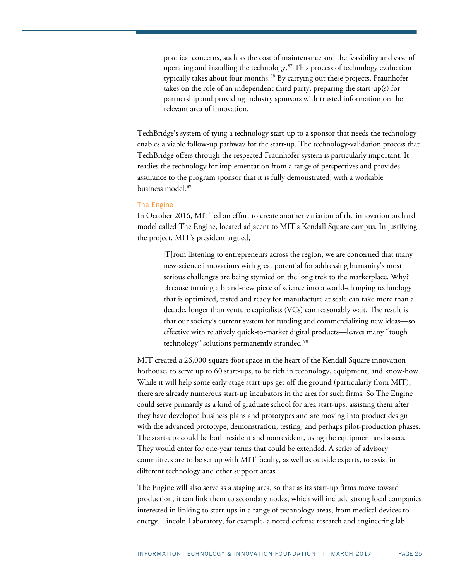practical concerns, such as the cost of maintenance and the feasibility and ease of operating and installing the technology.[87](#page-36-15) This process of technology evaluation typically takes about four months.<sup>[88](#page-36-16)</sup> By carrying out these projects, Fraunhofer takes on the role of an independent third party, preparing the start-up(s) for partnership and providing industry sponsors with trusted information on the relevant area of innovation.

TechBridge's system of tying a technology start-up to a sponsor that needs the technology enables a viable follow-up pathway for the start-up. The technology-validation process that TechBridge offers through the respected Fraunhofer system is particularly important. It readies the technology for implementation from a range of perspectives and provides assurance to the program sponsor that it is fully demonstrated, with a workable business model<sup>[89](#page-36-17)</sup>

#### The Engine

In October 2016, MIT led an effort to create another variation of the innovation orchard model called The Engine, located adjacent to MIT's Kendall Square campus. In justifying the project, MIT's president argued,

[F]rom listening to entrepreneurs across the region, we are concerned that many new-science innovations with great potential for addressing humanity's most serious challenges are being stymied on the long trek to the marketplace. Why? Because turning a brand-new piece of science into a world-changing technology that is optimized, tested and ready for manufacture at scale can take more than a decade, longer than venture capitalists (VCs) can reasonably wait. The result is that our society's current system for funding and commercializing new ideas—so effective with relatively quick-to-market digital products—leaves many "tough technology" solutions permanently stranded.<sup>[90](#page-37-0)</sup>

MIT created a 26,000-square-foot space in the heart of the Kendall Square innovation hothouse, to serve up to 60 start-ups, to be rich in technology, equipment, and know-how. While it will help some early-stage start-ups get off the ground (particularly from MIT), there are already numerous start-up incubators in the area for such firms. So The Engine could serve primarily as a kind of graduate school for area start-ups, assisting them after they have developed business plans and prototypes and are moving into product design with the advanced prototype, demonstration, testing, and perhaps pilot-production phases. The start-ups could be both resident and nonresident, using the equipment and assets. They would enter for one-year terms that could be extended. A series of advisory committees are to be set up with MIT faculty, as well as outside experts, to assist in different technology and other support areas.

The Engine will also serve as a staging area, so that as its start-up firms move toward production, it can link them to secondary nodes, which will include strong local companies interested in linking to start-ups in a range of technology areas, from medical devices to energy. Lincoln Laboratory, for example, a noted defense research and engineering lab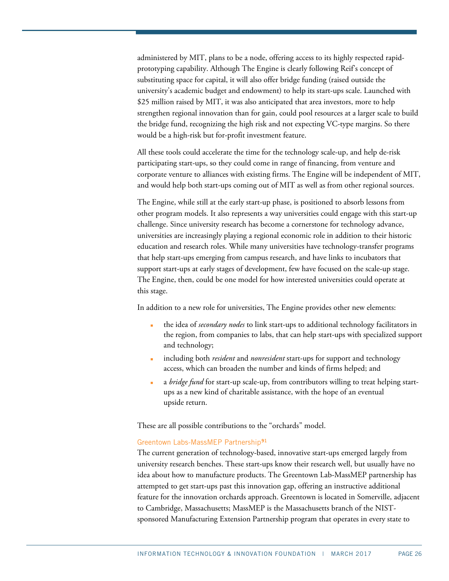administered by MIT, plans to be a node, offering access to its highly respected rapidprototyping capability. Although The Engine is clearly following Reif's concept of substituting space for capital, it will also offer bridge funding (raised outside the university's academic budget and endowment) to help its start-ups scale. Launched with \$25 million raised by MIT, it was also anticipated that area investors, more to help strengthen regional innovation than for gain, could pool resources at a larger scale to build the bridge fund, recognizing the high risk and not expecting VC-type margins. So there would be a high-risk but for-profit investment feature.

All these tools could accelerate the time for the technology scale-up, and help de-risk participating start-ups, so they could come in range of financing, from venture and corporate venture to alliances with existing firms. The Engine will be independent of MIT, and would help both start-ups coming out of MIT as well as from other regional sources.

The Engine, while still at the early start-up phase, is positioned to absorb lessons from other program models. It also represents a way universities could engage with this start-up challenge. Since university research has become a cornerstone for technology advance, universities are increasingly playing a regional economic role in addition to their historic education and research roles. While many universities have technology-transfer programs that help start-ups emerging from campus research, and have links to incubators that support start-ups at early stages of development, few have focused on the scale-up stage. The Engine, then, could be one model for how interested universities could operate at this stage.

In addition to a new role for universities, The Engine provides other new elements:

- the idea of *secondary nodes* to link start-ups to additional technology facilitators in the region, from companies to labs, that can help start-ups with specialized support and technology;
- including both *resident* and *nonresident* start-ups for support and technology access, which can broaden the number and kinds of firms helped; and
- a *bridge fund* for start-up scale-up, from contributors willing to treat helping startups as a new kind of charitable assistance, with the hope of an eventual upside return.

These are all possible contributions to the "orchards" model.

#### Greentown Labs-MassMEP Partnership[91](#page-37-1)

The current generation of technology-based, innovative start-ups emerged largely from university research benches. These start-ups know their research well, but usually have no idea about how to manufacture products. The Greentown Lab-MassMEP partnership has attempted to get start-ups past this innovation gap, offering an instructive additional feature for the innovation orchards approach. Greentown is located in Somerville, adjacent to Cambridge, Massachusetts; MassMEP is the Massachusetts branch of the NISTsponsored Manufacturing Extension Partnership program that operates in every state to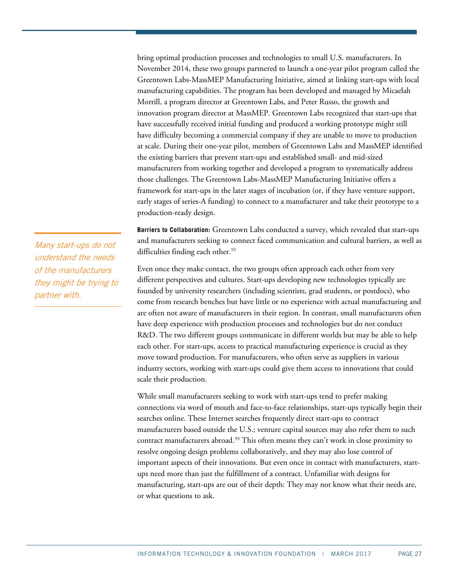bring optimal production processes and technologies to small U.S. manufacturers. In November 2014, these two groups partnered to launch a one-year pilot program called the Greentown Labs-MassMEP Manufacturing Initiative, aimed at linking start-ups with local manufacturing capabilities. The program has been developed and managed by Micaelah Morrill, a program director at Greentown Labs, and Peter Russo, the growth and innovation program director at MassMEP. Greentown Labs recognized that start-ups that have successfully received initial funding and produced a working prototype might still have difficulty becoming a commercial company if they are unable to move to production at scale. During their one-year pilot, members of Greentown Labs and MassMEP identified the existing barriers that prevent start-ups and established small- and mid-sized manufacturers from working together and developed a program to systematically address those challenges. The Greentown Labs-MassMEP Manufacturing Initiative offers a framework for start-ups in the later stages of incubation (or, if they have venture support, early stages of series-A funding) to connect to a manufacturer and take their prototype to a production-ready design.

**Barriers to Collaboration:** Greentown Labs conducted a survey, which revealed that start-ups and manufacturers seeking to connect faced communication and cultural barriers, as well as difficulties finding each other.<sup>[92](#page-37-2)</sup>

Even once they make contact, the two groups often approach each other from very different perspectives and cultures. Start-ups developing new technologies typically are founded by university researchers (including scientists, grad students, or postdocs), who come from research benches but have little or no experience with actual manufacturing and are often not aware of manufacturers in their region. In contrast, small manufacturers often have deep experience with production processes and technologies but do not conduct R&D. The two different groups communicate in different worlds but may be able to help each other. For start-ups, access to practical manufacturing experience is crucial as they move toward production. For manufacturers, who often serve as suppliers in various industry sectors, working with start-ups could give them access to innovations that could scale their production.

While small manufacturers seeking to work with start-ups tend to prefer making connections via word of mouth and face-to-face relationships, start-ups typically begin their searches online. These Internet searches frequently direct start-ups to contract manufacturers based outside the U.S.; venture capital sources may also refer them to such contract manufacturers abroad.<sup>[93](#page-37-3)</sup> This often means they can't work in close proximity to resolve ongoing design problems collaboratively, and they may also lose control of important aspects of their innovations. But even once in contact with manufacturers, startups need more than just the fulfillment of a contract. Unfamiliar with designs for manufacturing, start-ups are out of their depth: They may not know what their needs are, or what questions to ask.

Many start-ups do not understand the needs of the manufacturers they might be trying to partner with.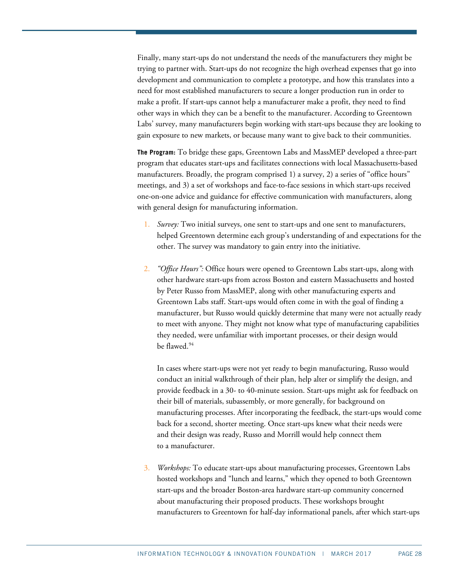Finally, many start-ups do not understand the needs of the manufacturers they might be trying to partner with. Start-ups do not recognize the high overhead expenses that go into development and communication to complete a prototype, and how this translates into a need for most established manufacturers to secure a longer production run in order to make a profit. If start-ups cannot help a manufacturer make a profit, they need to find other ways in which they can be a benefit to the manufacturer. According to Greentown Labs' survey, many manufacturers begin working with start-ups because they are looking to gain exposure to new markets, or because many want to give back to their communities.

**The Program:** To bridge these gaps, Greentown Labs and MassMEP developed a three-part program that educates start-ups and facilitates connections with local Massachusetts-based manufacturers. Broadly, the program comprised 1) a survey, 2) a series of "office hours" meetings, and 3) a set of workshops and face-to-face sessions in which start-ups received one-on-one advice and guidance for effective communication with manufacturers, along with general design for manufacturing information.

- 1. *Survey:* Two initial surveys, one sent to start-ups and one sent to manufacturers, helped Greentown determine each group's understanding of and expectations for the other. The survey was mandatory to gain entry into the initiative.
- 2. *"Office Hours":* Office hours were opened to Greentown Labs start-ups, along with other hardware start-ups from across Boston and eastern Massachusetts and hosted by Peter Russo from MassMEP, along with other manufacturing experts and Greentown Labs staff. Start-ups would often come in with the goal of finding a manufacturer, but Russo would quickly determine that many were not actually ready to meet with anyone. They might not know what type of manufacturing capabilities they needed, were unfamiliar with important processes, or their design would be flawed.<sup>[94](#page-37-4)</sup>

In cases where start-ups were not yet ready to begin manufacturing, Russo would conduct an initial walkthrough of their plan, help alter or simplify the design, and provide feedback in a 30- to 40-minute session. Start-ups might ask for feedback on their bill of materials, subassembly, or more generally, for background on manufacturing processes. After incorporating the feedback, the start-ups would come back for a second, shorter meeting. Once start-ups knew what their needs were and their design was ready, Russo and Morrill would help connect them to a manufacturer.

3. *Workshops:* To educate start-ups about manufacturing processes, Greentown Labs hosted workshops and "lunch and learns," which they opened to both Greentown start-ups and the broader Boston-area hardware start-up community concerned about manufacturing their proposed products. These workshops brought manufacturers to Greentown for half-day informational panels, after which start-ups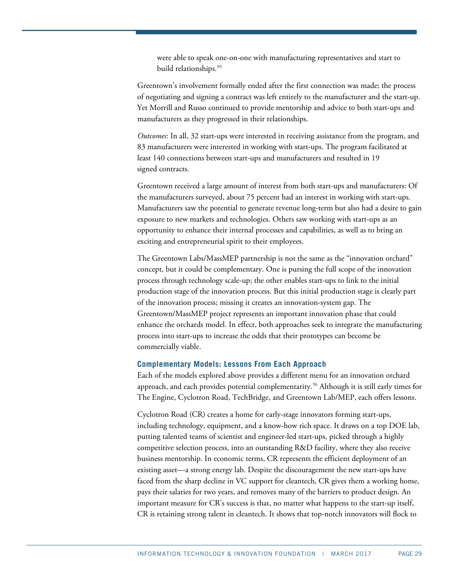were able to speak one-on-one with manufacturing representatives and start to build relationships.<sup>[95](#page-37-5)</sup>

Greentown's involvement formally ended after the first connection was made; the process of negotiating and signing a contract was left entirely to the manufacturer and the start-up. Yet Morrill and Russo continued to provide mentorship and advice to both start-ups and manufacturers as they progressed in their relationships.

*Outcomes*: In all, 32 start-ups were interested in receiving assistance from the program, and 83 manufacturers were interested in working with start-ups. The program facilitated at least 140 connections between start-ups and manufacturers and resulted in 19 signed contracts.

Greentown received a large amount of interest from both start-ups and manufacturers: Of the manufacturers surveyed, about 75 percent had an interest in working with start-ups. Manufacturers saw the potential to generate revenue long-term but also had a desire to gain exposure to new markets and technologies. Others saw working with start-ups as an opportunity to enhance their internal processes and capabilities, as well as to bring an exciting and entrepreneurial spirit to their employees.

The Greentown Labs/MassMEP partnership is not the same as the "innovation orchard" concept, but it could be complementary. One is pursing the full scope of the innovation process through technology scale-up; the other enables start-ups to link to the initial production stage of the innovation process. But this initial production stage is clearly part of the innovation process; missing it creates an innovation-system gap. The Greentown/MassMEP project represents an important innovation phase that could enhance the orchards model. In effect, both approaches seek to integrate the manufacturing process into start-ups to increase the odds that their prototypes can become be commercially viable.

#### <span id="page-28-0"></span>**Complementary Models: Lessons From Each Approach**

Each of the models explored above provides a different menu for an innovation orchard approach, and each provides potential complementarity.<sup>[96](#page-37-6)</sup> Although it is still early times for The Engine, Cyclotron Road, TechBridge, and Greentown Lab/MEP, each offers lessons.

Cyclotron Road (CR) creates a home for early-stage innovators forming start-ups, including technology, equipment, and a know-how rich space. It draws on a top DOE lab, putting talented teams of scientist and engineer-led start-ups, picked through a highly competitive selection process, into an outstanding R&D facility, where they also receive business mentorship. In economic terms, CR represents the efficient deployment of an existing asset—a strong energy lab. Despite the discouragement the new start-ups have faced from the sharp decline in VC support for cleantech, CR gives them a working home, pays their salaries for two years, and removes many of the barriers to product design. An important measure for CR's success is that, no matter what happens to the start-up itself, CR is retaining strong talent in cleantech. It shows that top-notch innovators will flock to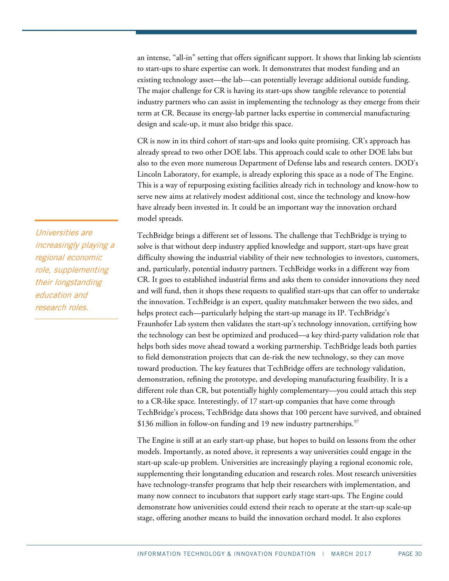an intense, "all-in" setting that offers significant support. It shows that linking lab scientists to start-ups to share expertise can work. It demonstrates that modest funding and an existing technology asset—the lab—can potentially leverage additional outside funding. The major challenge for CR is having its start-ups show tangible relevance to potential industry partners who can assist in implementing the technology as they emerge from their term at CR. Because its energy-lab partner lacks expertise in commercial manufacturing design and scale-up, it must also bridge this space.

CR is now in its third cohort of start-ups and looks quite promising. CR's approach has already spread to two other DOE labs. This approach could scale to other DOE labs but also to the even more numerous Department of Defense labs and research centers. DOD's Lincoln Laboratory, for example, is already exploring this space as a node of The Engine. This is a way of repurposing existing facilities already rich in technology and know-how to serve new aims at relatively modest additional cost, since the technology and know-how have already been invested in. It could be an important way the innovation orchard model spreads.

TechBridge brings a different set of lessons. The challenge that TechBridge is trying to solve is that without deep industry applied knowledge and support, start-ups have great difficulty showing the industrial viability of their new technologies to investors, customers, and, particularly, potential industry partners. TechBridge works in a different way from CR. It goes to established industrial firms and asks them to consider innovations they need and will fund, then it shops these requests to qualified start-ups that can offer to undertake the innovation. TechBridge is an expert, quality matchmaker between the two sides, and helps protect each—particularly helping the start-up manage its IP. TechBridge's Fraunhofer Lab system then validates the start-up's technology innovation, certifying how the technology can best be optimized and produced—a key third-party validation role that helps both sides move ahead toward a working partnership. TechBridge leads both parties to field demonstration projects that can de-risk the new technology, so they can move toward production. The key features that TechBridge offers are technology validation, demonstration, refining the prototype, and developing manufacturing feasibility. It is a different role than CR, but potentially highly complementary—you could attach this step to a CR-like space. Interestingly, of 17 start-up companies that have come through TechBridge's process, TechBridge data shows that 100 percent have survived, and obtained \$136 million in follow-on funding and 19 new industry partnerships.  $\frac{97}{2}$  $\frac{97}{2}$  $\frac{97}{2}$ 

The Engine is still at an early start-up phase, but hopes to build on lessons from the other models. Importantly, as noted above, it represents a way universities could engage in the start-up scale-up problem. Universities are increasingly playing a regional economic role, supplementing their longstanding education and research roles. Most research universities have technology-transfer programs that help their researchers with implementation, and many now connect to incubators that support early stage start-ups. The Engine could demonstrate how universities could extend their reach to operate at the start-up scale-up stage, offering another means to build the innovation orchard model. It also explores

Universities are increasingly playing a regional economic role, supplementing their longstanding education and research roles.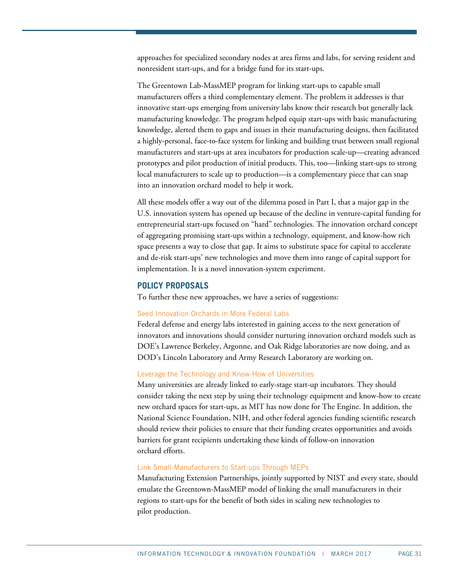approaches for specialized secondary nodes at area firms and labs, for serving resident and nonresident start-ups, and for a bridge fund for its start-ups.

The Greentown Lab-MassMEP program for linking start-ups to capable small manufacturers offers a third complementary element. The problem it addresses is that innovative start-ups emerging from university labs know their research but generally lack manufacturing knowledge. The program helped equip start-ups with basic manufacturing knowledge, alerted them to gaps and issues in their manufacturing designs, then facilitated a highly-personal, face-to-face system for linking and building trust between small regional manufacturers and start-ups at area incubators for production scale-up—creating advanced prototypes and pilot production of initial products. This, too—linking start-ups to strong local manufacturers to scale up to production—is a complementary piece that can snap into an innovation orchard model to help it work.

All these models offer a way out of the dilemma posed in Part I, that a major gap in the U.S. innovation system has opened up because of the decline in venture-capital funding for entrepreneurial start-ups focused on "hard" technologies. The innovation orchard concept of aggregating promising start-ups within a technology, equipment, and know-how rich space presents a way to close that gap. It aims to substitute space for capital to accelerate and de-risk start-ups' new technologies and move them into range of capital support for implementation. It is a novel innovation-system experiment.

## <span id="page-30-0"></span>**POLICY PROPOSALS**

To further these new approaches, we have a series of suggestions:

#### Seed Innovation Orchards in More Federal Labs

Federal defense and energy labs interested in gaining access to the next generation of innovators and innovations should consider nurturing innovation orchard models such as DOE's Lawrence Berkeley, Argonne, and Oak Ridge laboratories are now doing, and as DOD's Lincoln Laboratory and Army Research Laboratory are working on.

#### Leverage the Technology and Know-How of Universities

Many universities are already linked to early-stage start-up incubators. They should consider taking the next step by using their technology equipment and know-how to create new orchard spaces for start-ups, as MIT has now done for The Engine. In addition, the National Science Foundation, NIH, and other federal agencies funding scientific research should review their policies to ensure that their funding creates opportunities and avoids barriers for grant recipients undertaking these kinds of follow-on innovation orchard efforts.

#### Link Small Manufacturers to Start-ups Through MEPs

Manufacturing Extension Partnerships, jointly supported by NIST and every state, should emulate the Greentown-MassMEP model of linking the small manufacturers in their regions to start-ups for the benefit of both sides in scaling new technologies to pilot production.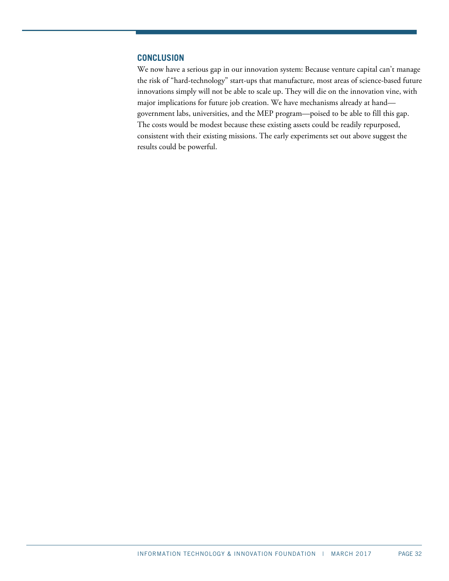## <span id="page-31-0"></span>**CONCLUSION**

We now have a serious gap in our innovation system: Because venture capital can't manage the risk of "hard-technology" start-ups that manufacture, most areas of science-based future innovations simply will not be able to scale up. They will die on the innovation vine, with major implications for future job creation. We have mechanisms already at hand government labs, universities, and the MEP program—poised to be able to fill this gap. The costs would be modest because these existing assets could be readily repurposed, consistent with their existing missions. The early experiments set out above suggest the results could be powerful.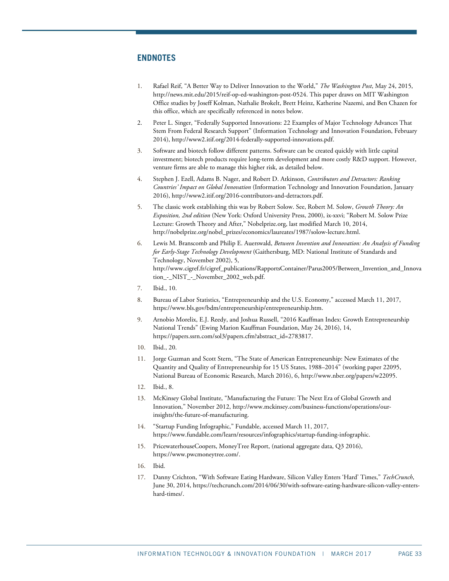## <span id="page-32-1"></span>**ENDNOTES**

- <span id="page-32-0"></span>1. Rafael Reif, "A Better Way to Deliver Innovation to the World," *The Washington Post*, May 24, 2015, [http://news.mit.edu/2015/reif-op-ed-washington-post-0524.](http://news.mit.edu/2015/reif-op-ed-washington-post-0524) This paper draws on MIT Washington Office studies by Joseff Kolman, Nathalie Brokelt, Brett Heinz, Katherine Nazemi, and Ben Chazen for this office, which are specifically referenced in notes below.
- <span id="page-32-2"></span>2. Peter L. Singer, "Federally Supported Innovations: 22 Examples of Major Technology Advances That Stem From Federal Research Support" (Information Technology and Innovation Foundation, February 2014), [http://www2.itif.org/2014-federally-supported-innovations.pdf.](http://www2.itif.org/2014-federally-supported-innovations.pdf)
- <span id="page-32-3"></span>3. Software and biotech follow different patterns. Software can be created quickly with little capital investment; biotech products require long-term development and more costly R&D support. However, venture firms are able to manage this higher risk, as detailed below.
- <span id="page-32-4"></span>4. Stephen J. Ezell, Adams B. Nager, and Robert D. Atkinson, *Contributors and Detractors: Ranking Countries' Impact on Global Innovation* (Information Technology and Innovation Foundation, January 2016)[, http://www2.itif.org/2016-contributors-and-detractors.pdf.](http://www2.itif.org/2016-contributors-and-detractors.pdf)
- <span id="page-32-5"></span>5. The classic work establishing this was by Robert Solow. See, Robert M. Solow, *Growth Theory: An Exposition, 2nd edition* (New York: Oxford University Press, 2000), ix-xxvi; "Robert M. Solow Prize Lecture: Growth Theory and After," Nobelprize.org, last modified March 10, 2014, [http://nobelprize.org/nobel\\_prizes/economics/laureates/1987/solow-lecture.html.](http://nobelprize.org/nobel_prizes/economics/laureates/1987/solow-lecture.html)
- <span id="page-32-6"></span>6. Lewis M. Branscomb and Philip E. Auerswald, *Between Invention and Innovation: An Analysis of Funding for Early-Stage Technology Development* (Gaithersburg, MD: National Institute of Standards and Technology, November 2002), 5, http://www.cigref.fr/cigref\_publications/RapportsContainer/Parus2005/Between\_Invention\_and\_Innova tion\_-\_NIST\_-\_November\_2002\_web.pdf.
- <span id="page-32-7"></span>7. Ibid., 10.
- <span id="page-32-8"></span>8. Bureau of Labor Statistics, "Entrepreneurship and the U.S. Economy," accessed March 11, 2017, https://www.bls.gov/bdm/entrepreneurship/entrepreneurship.htm.
- <span id="page-32-9"></span>9. Arnobio Morelix, E.J. Reedy, and Joshua Russell, "2016 Kauffman Index: Growth Entrepreneurship National Trends" (Ewing Marion Kauffman Foundation, May 24, 2016), 14, [https://papers.ssrn.com/sol3/papers.cfm?abstract\\_id=2783817.](https://papers.ssrn.com/sol3/papers.cfm?abstract_id=2783817)
- <span id="page-32-11"></span><span id="page-32-10"></span>10. Ibid., 20.
- 11. Jorge Guzman and Scott Stern, "The State of American Entrepreneurship: New Estimates of the Quantity and Quality of Entrepreneurship for 15 US States, 1988–2014" (working paper 22095, National Bureau of Economic Research, March 2016), 6[, http://www.nber.org/papers/w22095.](http://www.nber.org/papers/w22095)
- <span id="page-32-12"></span>12. Ibid., 8.
- <span id="page-32-13"></span>13. McKinsey Global Institute, "Manufacturing the Future: The Next Era of Global Growth and Innovation," November 2012[, http://www.mckinsey.com/business-functions/operations/our](http://www.mckinsey.com/business-functions/operations/our-insights/the-future-of-manufacturing)[insights/the-future-of-manufacturing.](http://www.mckinsey.com/business-functions/operations/our-insights/the-future-of-manufacturing)
- <span id="page-32-14"></span>14. "Startup Funding Infographic," Fundable, accessed March 11, 2017, [https://www.fundable.com/learn/resources/infographics/startup-funding-infographic.](https://www.fundable.com/learn/resources/infographics/startup-funding-infographic)
- <span id="page-32-15"></span>15. PricewaterhouseCoopers, MoneyTree Report, (national aggregate data, Q3 2016), [https://www.pwcmoneytree.com/.](https://www.pwcmoneytree.com/)
- <span id="page-32-17"></span><span id="page-32-16"></span>16. Ibid.
- 17. Danny Crichton, "With Software Eating Hardware, Silicon Valley Enters 'Hard' Times," *TechCrunch*, June 30, 2014, [https://techcrunch.com/2014/06/30/with-software-eating-hardware-silicon-valley-enters](https://techcrunch.com/2014/06/30/with-software-eating-hardware-silicon-valley-enters-hard-times/)[hard-times/.](https://techcrunch.com/2014/06/30/with-software-eating-hardware-silicon-valley-enters-hard-times/)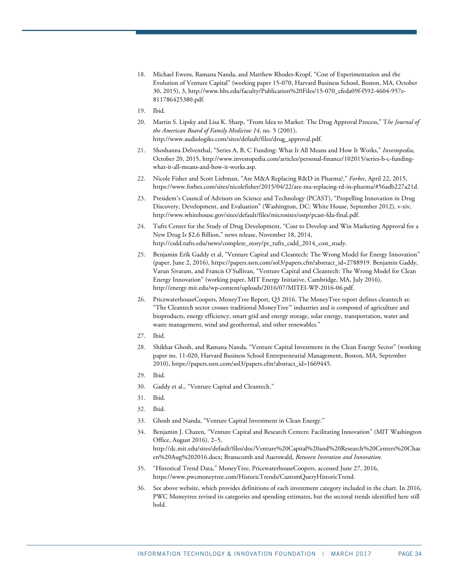- <span id="page-33-0"></span>18. Michael Ewens, Ramana Nanda, and Matthew Rhodes-Kropf, "Cost of Experimentation and the Evolution of Venture Capital" (working paper 15-070, Harvard Business School, Boston, MA, October 30, 2015), 3[, http://www.hbs.edu/faculty/Publication%20Files/15-070\\_cfeda09f-f592-4604-957e-](http://www.hbs.edu/faculty/Publication%20Files/15-070_cfeda09f-f592-4604-957e-811786425380.pdf)[811786425380.pdf.](http://www.hbs.edu/faculty/Publication%20Files/15-070_cfeda09f-f592-4604-957e-811786425380.pdf)
- <span id="page-33-2"></span><span id="page-33-1"></span>19. Ibid.
- 20. Martin S. Lipsky and Lisa K. Sharp, "From Idea to Market: The Drug Approval Process," T*he Journal of the American Board of Family Medicine 14*, no. 5 (2001), [http://www.audiologiks.com/sites/default/files/drug\\_approval.pdf.](http://www.audiologiks.com/sites/default/files/drug_approval.pdf)
- <span id="page-33-3"></span>21. Shoshanna Delventhal, "Series A, B, C Funding: What It All Means and How It Works," *Investopedia*, October 20, 2015, http://www.investopedia.com/articles/personal-finance/102015/series-b-c-fundingwhat-it-all-means-and-how-it-works.asp.
- <span id="page-33-4"></span>22. Nicole Fisher and Scott Liebman, "Are M&A Replacing R&D in Pharma?," *Forbes*, April 22, 2015, [https://www.forbes.com/sites/nicolefisher/2015/04/22/are-ma-replacing-rd-in-pharma/#56adb227a21d.](https://www.forbes.com/sites/nicolefisher/2015/04/22/are-ma-replacing-rd-in-pharma/#56adb227a21d)
- <span id="page-33-5"></span>23. President's Council of Advisors on Science and Technology (PCAST), "Propelling Innovation in Drug Discovery, Development, and Evaluation" (Washington, DC: White House, September 2012), v-xiv, [http://www.whitehouse.gov/sites/default/files/microsites/ostp/pcast-fda-final.pdf.](http://www.whitehouse.gov/sites/default/files/microsites/ostp/pcast-fda-final.pdf)
- <span id="page-33-6"></span>24. Tufts Center for the Study of Drug Development, "Cost to Develop and Win Marketing Approval for a New Drug Is \$2.6 Billion," news release, November 18, 2014, [http://csdd.tufts.edu/news/complete\\_story/pr\\_tufts\\_csdd\\_2014\\_cost\\_study.](http://csdd.tufts.edu/news/complete_story/pr_tufts_csdd_2014_cost_study)
- <span id="page-33-7"></span>25. Benjamin Erik Gaddy et al, "Venture Capital and Cleantech: The Wrong Model for Energy Innovation" (paper, June 2, 2016), [https://papers.ssrn.com/sol3/papers.cfm?abstract\\_id=2788919.](https://papers.ssrn.com/sol3/papers.cfm?abstract_id=2788919) Benjamin Gaddy, Varun Sivaram, and Francis O'Sullivan, "Venture Capital and Cleantech: The Wrong Model for Clean Energy Innovation" (working paper, MIT Energy Initiative, Cambridge, MA, July 2016), [http://energy.mit.edu/wp-content/uploads/2016/07/MITEI-WP-2016-06.pdf.](http://energy.mit.edu/wp-content/uploads/2016/07/MITEI-WP-2016-06.pdf)
- <span id="page-33-8"></span>26. PricewaterhouseCoopers, MoneyTree Report, Q3 2016. The MoneyTree report defines cleantech as: "The Cleantech sector crosses traditional MoneyTree™ industries and is composed of agriculture and bioproducts, energy efficiency, smart grid and energy storage, solar energy, transportation, water and waste management, wind and geothermal, and other renewables."
- <span id="page-33-9"></span>27. Ibid.
- <span id="page-33-10"></span>28. Shikhar Ghosh, and Ramana Nanda, "Venture Capital Investment in the Clean Energy Sector" (working paper no. 11-020, Harvard Business School Entrepreneurial Management, Boston, MA, September 2010)[, https://papers.ssrn.com/sol3/papers.cfm?abstract\\_id=1669445.](https://papers.ssrn.com/sol3/papers.cfm?abstract_id=1669445)
- <span id="page-33-11"></span>29. Ibid.
- <span id="page-33-12"></span>30. Gaddy et al., "Venture Capital and Cleantech."
- <span id="page-33-13"></span>31. Ibid.
- <span id="page-33-14"></span>32. Ibid.
- <span id="page-33-15"></span>33. Ghosh and Nanda, "Venture Capital Investment in Clean Energy."
- <span id="page-33-16"></span>34. Benjamin J. Chazen, "Venture Capital and Research Centers: Facilitating Innovation" (MIT Washington Office, August 2016), 2–5, [http://dc.mit.edu/sites/default/files/doc/Venture%20Capital%20and%20Research%20Centers%20Chaz](http://dc.mit.edu/sites/default/files/doc/Venture%20Capital%20and%20Research%20Centers%20Chazen%20Aug%202016.docx) [en%20Aug%202016.docx;](http://dc.mit.edu/sites/default/files/doc/Venture%20Capital%20and%20Research%20Centers%20Chazen%20Aug%202016.docx) Branscomb and Auerswald, *Between Invention and Innovation*.
- <span id="page-33-17"></span>35. "Historical Trend Data," MoneyTree, PricewaterhouseCoopers, accessed June 27, 2016, [https://www.pwcmoneytree.com/HistoricTrends/CustomQueryHistoricTrend.](https://www.pwcmoneytree.com/HistoricTrends/CustomQueryHistoricTrend)
- <span id="page-33-18"></span>36. See above website, which provides definitions of each investment category included in the chart. In 2016, PWC Moneytree revised its categories and spending estimates, but the sectoral trends identified here still hold.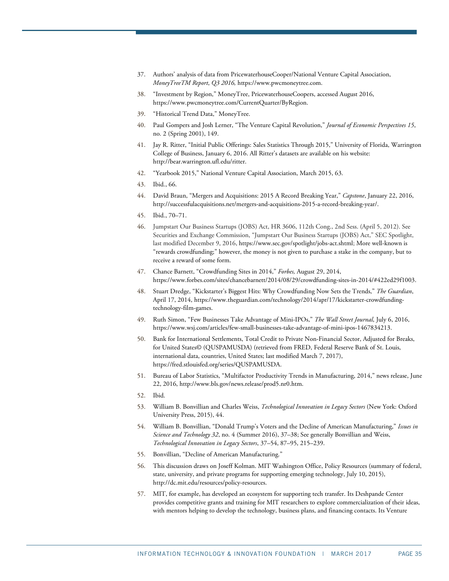- <span id="page-34-0"></span>37. Authors' analysis of data from PricewaterhouseCooper/National Venture Capital Association, *MoneyTreeTM Report*, *Q3 2016,* [https://www.pwcmoneytree.com.](https://www.pwcmoneytree.com/)
- <span id="page-34-1"></span>38. "Investment by Region," MoneyTree, PricewaterhouseCoopers, accessed August 2016, [https://www.pwcmoneytree.com/CurrentQuarter/ByRegion.](https://www.pwcmoneytree.com/CurrentQuarter/ByRegion)
- <span id="page-34-2"></span>39. "Historical Trend Data," MoneyTree.
- <span id="page-34-3"></span>40. Paul Gompers and Josh Lerner, "The Venture Capital Revolution," *Journal of Economic Perspectives 15*, no. 2 (Spring 2001), 149.
- <span id="page-34-4"></span>41. Jay R. Ritter, "Initial Public Offerings: Sales Statistics Through 2015," University of Florida, Warrington College of Business, January 6, 2016. All Ritter's datasets are available on his website: [http://bear.warrington.ufl.edu/ritter.](http://bear.warrington.ufl.edu/ritter)
- <span id="page-34-6"></span><span id="page-34-5"></span>42. "Yearbook 2015," National Venture Capital Association, March 2015, 63.
- 43. Ibid., 66.
- <span id="page-34-7"></span>44. David Braun, "Mergers and Acquisitions: 2015 A Record Breaking Year," *Capstone*, January 22, 2016, http://successfulacquisitions.net/mergers-and-acquisitions-2015-a-record-breaking-year/.
- <span id="page-34-8"></span>45. Ibid., 70–71.
- <span id="page-34-9"></span>46. [Jumpstart Our Business Startups \(JOBS\) Act,](https://www.gpo.gov/fdsys/pkg/BILLS-112hr3606enr/pdf/BILLS-112hr3606enr.pdf) HR 3606, 112th Cong., 2nd Sess. (April 5, 2012). See Securities and Exchange Commission, "Jumpstart Our Business Startups (JOBS) Act," SEC Spotlight, last modified December 9, 2016, [https://www.sec.gov/spotlight/jobs-act.shtml;](https://www.sec.gov/spotlight/jobs-act.shtml) More well-known is "rewards crowdfunding;" however, the money is not given to purchase a stake in the company, but to receive a reward of some form.
- <span id="page-34-10"></span>47. Chance Barnett, "Crowdfunding Sites in 2014," *Forbes,* August 29, 2014, [https://www.forbes.com/sites/chancebarnett/2014/08/29/crowdfunding-sites-in-2014/#422ed29f1003.](https://www.forbes.com/sites/chancebarnett/2014/08/29/crowdfunding-sites-in-2014/#422ed29f1003)
- <span id="page-34-11"></span>48. Stuart Dredge, "Kickstarter's Biggest Hits: Why Crowdfunding Now Sets the Trends," *The Guardian*, April 17, 2014, https://www.theguardian.com/technology/2014/apr/17/kickstarter-crowdfundingtechnology-film-games.
- <span id="page-34-12"></span>49. Ruth Simon, "Few Businesses Take Advantage of Mini-IPOs," *The Wall Street Journal*, July 6, 2016, [https://www.wsj.com/articles/few-small-businesses-take-advantage-of-mini-ipos-1467834213.](https://www.wsj.com/articles/few-small-businesses-take-advantage-of-mini-ipos-1467834213)
- <span id="page-34-13"></span>50. Bank for International Settlements, Total Credit to Private Non-Financial Sector, Adjusted for Breaks, for United States© (QUSPAMUSDA) (retrieved from FRED, Federal Reserve Bank of St. Louis, international data, countries, United States; last modified March 7, 2017), [https://fred.stlouisfed.org/series/QUSPAMUSDA.](https://fred.stlouisfed.org/series/QUSPAMUSDA)
- <span id="page-34-14"></span>51. Bureau of Labor Statistics, "Multifactor Productivity Trends in Manufacturing, 2014," news release, June 22, 2016, [http://www.bls.gov/news.release/prod5.nr0.htm.](http://www.bls.gov/news.release/prod5.nr0.htm)
- <span id="page-34-15"></span>52. Ibid.
- <span id="page-34-16"></span>53. William B. Bonvillian and Charles Weiss, *Technological Innovation in Legacy Sectors* (New York: Oxford University Press, 2015), 44.
- <span id="page-34-17"></span>54. William B. Bonvillian, "Donald Trump's Voters and the Decline of American Manufacturing," *Issues in Science and Technology 32*, no. 4 (Summer 2016), 37–38; See generally Bonvillian and Weiss, *Technological Innovation in Legacy Sectors*, 37–54, 87–95, 215–239.
- <span id="page-34-18"></span>55. Bonvillian, "Decline of American Manufacturing."
- <span id="page-34-19"></span>56. This discussion draws on Joseff Kolman. MIT Washington Office, Policy Resources (summary of federal, state, university, and private programs for supporting emerging technology, July 10, 2015), [http://dc.mit.edu/resources/policy-resources.](http://dc.mit.edu/resources/policy-resources)
- <span id="page-34-20"></span>57. MIT, for example, has developed an ecosystem for supporting tech transfer. Its Deshpande Center provides competitive grants and training for MIT researchers to explore commercialization of their ideas, with mentors helping to develop the technology, business plans, and financing contacts. Its Venture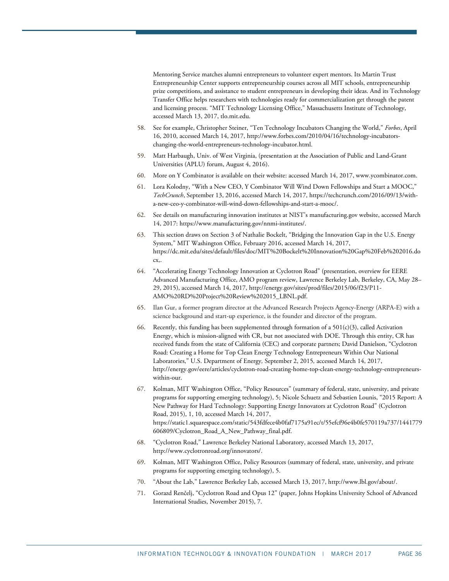Mentoring Service matches alumni entrepreneurs to volunteer expert mentors. Its Martin Trust Entrepreneurship Center supports entrepreneurship courses across all MIT schools, entrepreneurship prize competitions, and assistance to student entrepreneurs in developing their ideas. And its Technology Transfer Office helps researchers with technologies ready for commercialization get through the patent and licensing process. "MIT Technology Licensing Office," Massachusetts Institute of Technology, accessed March 13, 2017, tlo.mit.edu.

- <span id="page-35-0"></span>58. See for example, Christopher Steiner, "Ten Technology Incubators Changing the World," *Forbes*, April 16, 2010, accessed March 14, 2017[, http://www.forbes.com/2010/04/16/technology-incubators](http://www.forbes.com/2010/04/16/technology-incubators-changing-the-world-entrepreneurs-technology-incubator.html)[changing-the-world-entrepreneurs-technology-incubator.html.](http://www.forbes.com/2010/04/16/technology-incubators-changing-the-world-entrepreneurs-technology-incubator.html)
- <span id="page-35-1"></span>59. Matt Harbaugh, Univ. of West Virginia, (presentation at the Association of Public and Land-Grant Universities (APLU) forum, August 4, 2016).
- <span id="page-35-2"></span>60. More on Y Combinator is available on their website: accessed March 14, 2017[, www.ycombinator.com.](http://www.ycombinator.com/)
- <span id="page-35-3"></span>61. Lora Kolodny, "With a New CEO, Y Combinator Will Wind Down Fellowships and Start a MOOC," *TechCrunch*, September 13, 2016, accessed March 14, 2017, [https://techcrunch.com/2016/09/13/with](https://techcrunch.com/2016/09/13/with-a-new-ceo-y-combinator-will-wind-down-fellowships-and-start-a-mooc/)[a-new-ceo-y-combinator-will-wind-down-fellowships-and-start-a-mooc/.](https://techcrunch.com/2016/09/13/with-a-new-ceo-y-combinator-will-wind-down-fellowships-and-start-a-mooc/)
- <span id="page-35-4"></span>62. See details on manufacturing innovation institutes at NIST's manufacturing.gov website, accessed March 14, 2017: [https://www.manufacturing.gov/nnmi-institutes/.](https://www.manufacturing.gov/nnmi-institutes/)
- <span id="page-35-5"></span>63. This section draws on Section 3 of Nathalie Bockelt, "Bridging the Innovation Gap in the U.S. Energy System," MIT Washington Office, February 2016, accessed March 14, 2017, [https://dc.mit.edu/sites/default/files/doc/MIT%20Bockelt%20Innovation%20Gap%20Feb%202016.do](https://dc.mit.edu/sites/default/files/doc/MIT%20Bockelt%20Innovation%20Gap%20Feb%202016.docx) [cx,.](https://dc.mit.edu/sites/default/files/doc/MIT%20Bockelt%20Innovation%20Gap%20Feb%202016.docx)
- <span id="page-35-6"></span>64. "Accelerating Energy Technology Innovation at Cyclotron Road" (presentation, overview for EERE Advanced Manufacturing Office, AMO program review, Lawrence Berkeley Lab, Berkeley, CA, May 28– 29, 2015), accessed March 14, 2017[, http://energy.gov/sites/prod/files/2015/06/f23/P11-](http://energy.gov/sites/prod/files/2015/06/f23/P11-AMO%20RD%20Project%20Review%202015_LBNL.pdf) [AMO%20RD%20Project%20Review%202015\\_LBNL.pdf.](http://energy.gov/sites/prod/files/2015/06/f23/P11-AMO%20RD%20Project%20Review%202015_LBNL.pdf)
- <span id="page-35-7"></span>65. Ilan Gur, a former program director at the Advanced Research Projects Agency-Energy (ARPA-E) with a science background and start-up experience, is the founder and director of the program.
- <span id="page-35-8"></span>66. Recently, this funding has been supplemented through formation of a  $501(c)(3)$ , called Activation Energy, which is mission-aligned with CR, but not associated with DOE. Through this entity, CR has received funds from the state of California (CEC) and corporate partners; David Danielson, "Cyclotron Road: Creating a Home for Top Clean Energy Technology Entrepreneurs Within Our National Laboratories," U.S. Department of Energy*,* September 2, 2015*,* accessed March 14, 2017, [http://energy.gov/eere/articles/cyclotron-road-creating-home-top-clean-energy-technology-entrepreneurs](http://energy.gov/eere/articles/cyclotron-road-creating-home-top-clean-energy-technology-entrepreneurs-within-our)[within-our.](http://energy.gov/eere/articles/cyclotron-road-creating-home-top-clean-energy-technology-entrepreneurs-within-our)
- <span id="page-35-9"></span>67. Kolman, MIT Washington Office, "Policy Resources" (summary of federal, state, university, and private programs for supporting emerging technology), 5; Nicole Schuetz and Sebastien Lounis, "2015 Report: A New Pathway for Hard Technology: Supporting Energy Innovators at Cyclotron Road" (Cyclotron Road, 2015), 1, 10, accessed March 14, 2017, [https://static1.squarespace.com/static/543fdfece4b0faf7175a91ec/t/55efcf96e4b0fe570119a737/1441779](https://static1.squarespace.com/static/543fdfece4b0faf7175a91ec/t/55efcf96e4b0fe570119a737/1441779606809/Cyclotron_Road_A_New_Pathway_final.pdf) [606809/Cyclotron\\_Road\\_A\\_New\\_Pathway\\_final.pdf.](https://static1.squarespace.com/static/543fdfece4b0faf7175a91ec/t/55efcf96e4b0fe570119a737/1441779606809/Cyclotron_Road_A_New_Pathway_final.pdf)
- <span id="page-35-10"></span>68. "Cyclotron Road," Lawrence Berkeley National Laboratory, accessed March 13, 2017, [http://www.cyclotronroad.org/innovators/.](http://www.cyclotronroad.org/innovators/)
- <span id="page-35-11"></span>69. Kolman, MIT Washington Office, Policy Resources (summary of federal, state, university, and private programs for supporting emerging technology), 5.
- <span id="page-35-12"></span>70. "About the Lab," Lawrence Berkeley Lab, accessed March 13, 2017, [http://www.lbl.gov/about/.](http://www.lbl.gov/about/)
- <span id="page-35-13"></span>71. Gorazd Renčelj, "Cyclotron Road and Opus 12" (paper, Johns Hopkins University School of Advanced International Studies, November 2015), 7.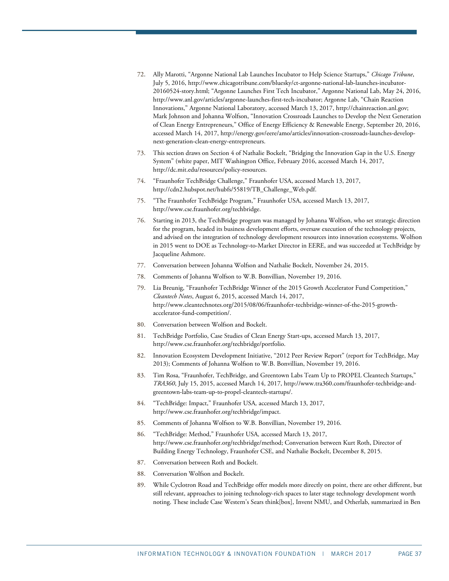- <span id="page-36-0"></span>72. Ally Marotti, "Argonne National Lab Launches Incubator to Help Science Startups," *Chicago Tribune*, July 5, 2016[, http://www.chicagotribune.com/bluesky/ct-argonne-national-lab-launches-incubator-](http://www.chicagotribune.com/bluesky/ct-argonne-national-lab-launches-incubator-20160524-story.html)[20160524-story.html;](http://www.chicagotribune.com/bluesky/ct-argonne-national-lab-launches-incubator-20160524-story.html) "Argonne Launches First Tech Incubator," Argonne National Lab, May 24, 2016, [http://www.anl.gov/articles/argonne-launches-first-tech-incubator;](http://www.anl.gov/articles/argonne-launches-first-tech-incubator) Argonne Lab, "Chain Reaction Innovations," Argonne National Laboratory, accessed March 13, 2017, [http://chainreaction.anl.gov;](http://chainreaction.anl.gov/)  Mark Johnson and Johanna Wolfson, "Innovation Crossroads Launches to Develop the Next Generation of Clean Energy Entrepreneurs," Office of Energy Efficiency & Renewable Energy, September 20, 2016, accessed March 14, 2017[, http://energy.gov/eere/amo/articles/innovation-crossroads-launches-develop](http://energy.gov/eere/amo/articles/innovation-crossroads-launches-develop-next-generation-clean-energy-entrepreneurs)[next-generation-clean-energy-entrepreneurs.](http://energy.gov/eere/amo/articles/innovation-crossroads-launches-develop-next-generation-clean-energy-entrepreneurs)
- <span id="page-36-1"></span>73. This section draws on Section 4 of Nathalie Bockelt, "Bridging the Innovation Gap in the U.S. Energy System" (white paper, MIT Washington Office, February 2016, accessed March 14, 2017, http://dc.mit.edu/resources/policy-resources.
- <span id="page-36-2"></span>74. "Fraunhofer TechBridge Challenge," Fraunhofer USA, accessed March 13, 2017, [http://cdn2.hubspot.net/hubfs/55819/TB\\_Challenge\\_Web.pdf.](http://cdn2.hubspot.net/hubfs/55819/TB_Challenge_Web.pdf)
- <span id="page-36-3"></span>75. "The Fraunhofer TechBridge Program," Fraunhofer USA, accessed March 13, 2017, [http://www.cse.fraunhofer.org/techbridge.](http://www.cse.fraunhofer.org/techbridge)
- <span id="page-36-4"></span>76. Starting in 2013, the TechBridge program was managed by Johanna Wolfson, who set strategic direction for the program, headed its business development efforts, oversaw execution of the technology projects, and advised on the integration of technology development resources into innovation ecosystems. Wolfson in 2015 went to DOE as Technology-to-Market Director in EERE, and was succeeded at TechBridge by Jacqueline Ashmore.
- <span id="page-36-5"></span>77. Conversation between Johanna Wolfson and Nathalie Bockelt, November 24, 2015.
- <span id="page-36-6"></span>78. Comments of Johanna Wolfson to W.B. Bonvillian, November 19, 2016.
- <span id="page-36-7"></span>79. Lia Breunig, "Fraunhofer TechBridge Winner of the 2015 Growth Accelerator Fund Competition," *Cleantech Notes*, August 6, 2015, accessed March 14, 2017, [http://www.cleantechnotes.org/2015/08/06/fraunhofer-techbridge-winner-of-the-2015-growth](http://www.cleantechnotes.org/2015/08/06/fraunhofer-techbridge-winner-of-the-2015-growth-accelerator-fund-competition/)[accelerator-fund-competition/.](http://www.cleantechnotes.org/2015/08/06/fraunhofer-techbridge-winner-of-the-2015-growth-accelerator-fund-competition/)
- <span id="page-36-8"></span>80. Conversation between Wolfson and Bockelt.
- <span id="page-36-9"></span>81. TechBridge Portfolio, Case Studies of Clean Energy Start-ups, accessed March 13, 2017, [http://www.cse.fraunhofer.org/techbridge/portfolio.](http://www.cse.fraunhofer.org/techbridge/portfolio)
- <span id="page-36-10"></span>82. Innovation Ecosystem Development Initiative, "2012 Peer Review Report" (report for TechBridge, May 2013); Comments of Johanna Wolfson to W.B. Bonvillian, November 19, 2016.
- <span id="page-36-11"></span>83. Tim Rosa, "Fraunhofer, TechBridge, and Greentown Labs Team Up to PROPEL Cleantech Startups," *TRA360*, July 15, 2015, accessed March 14, 2017, [http://www.tra360.com/fraunhofer-techbridge-and](http://www.tra360.com/fraunhofer-techbridge-and-greentown-labs-team-up-to-propel-cleantech-startups/)[greentown-labs-team-up-to-propel-cleantech-startups/.](http://www.tra360.com/fraunhofer-techbridge-and-greentown-labs-team-up-to-propel-cleantech-startups/)
- <span id="page-36-12"></span>84. "TechBridge: Impact," Fraunhofer USA*,* accessed March 13, 2017, http://www.cse.fraunhofer.org/techbridge/impact.
- <span id="page-36-13"></span>85. Comments of Johanna Wolfson to W.B. Bonvillian, November 19, 2016.
- <span id="page-36-14"></span>86. "TechBridge: Method," Fraunhofer USA*,* accessed March 13, 2017, [http://www.cse.fraunhofer.org/techbridge/method;](http://www.cse.fraunhofer.org/techbridge/method) Conversation between Kurt Roth, Director of Building Energy Technology, Fraunhofer CSE, and Nathalie Bockelt, December 8, 2015.
- <span id="page-36-15"></span>87. Conversation between Roth and Bockelt.
- <span id="page-36-16"></span>88. Conversation Wolfson and Bockelt.
- <span id="page-36-17"></span>89. While Cyclotron Road and TechBridge offer models more directly on point, there are other different, but still relevant, approaches to joining technology-rich spaces to later stage technology development worth noting. These include Case Western's Sears think[box], Invent NMU, and Otherlab, summarized in Ben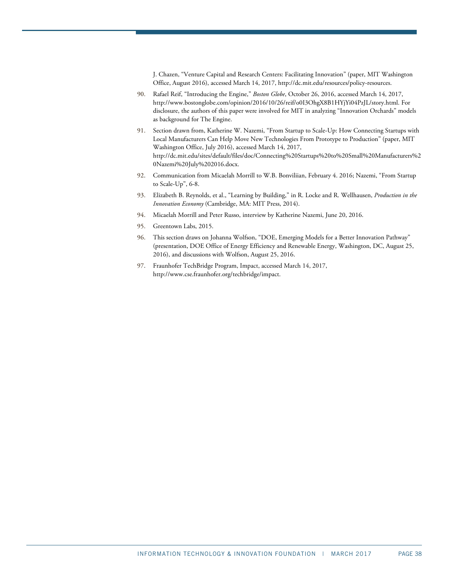J. Chazen, "Venture Capital and Research Centers: Facilitating Innovation" (paper, MIT Washington Office, August 2016), accessed March 14, 2017[, http://dc.mit.edu/resources/policy-resources.](http://dc.mit.edu/resources/policy-resources) 

- <span id="page-37-0"></span>90. Rafael Reif, "Introducing the Engine," *Boston Globe*, October 26, 2016, accessed March 14, 2017, http://www.bostonglobe.com/opinion/2016/10/26/reif/o0I3OhgX8B1HYjYi04PzJL/story.html. For disclosure, the authors of this paper were involved for MIT in analyzing "Innovation Orchards" models as background for The Engine.
- <span id="page-37-1"></span>91. Section drawn from, Katherine W. Nazemi, "From Startup to Scale-Up: How Connecting Startups with Local Manufacturers Can Help Move New Technologies From Prototype to Production" (paper, MIT Washington Office, July 2016), accessed March 14, 2017, [http://dc.mit.edu/sites/default/files/doc/Connecting%20Startups%20to%20Small%20Manufacturers%2](http://dc.mit.edu/sites/default/files/doc/Connecting%20Startups%20to%20Small%20Manufacturers%20Nazemi%20July%202016.docx) [0Nazemi%20July%202016.docx.](http://dc.mit.edu/sites/default/files/doc/Connecting%20Startups%20to%20Small%20Manufacturers%20Nazemi%20July%202016.docx)
- <span id="page-37-2"></span>92. Communication from Micaelah Morrill to W.B. Bonviliian, February 4. 2016; Nazemi, "From Startup to Scale-Up", 6-8.
- <span id="page-37-3"></span>93. Elizabeth B. Reynolds, et al., "Learning by Building," in R. Locke and R. Wellhausen, *Production in the Innovation Economy* (Cambridge, MA: MIT Press, 2014).
- <span id="page-37-4"></span>94. Micaelah Morrill and Peter Russo, interview by Katherine Nazemi, June 20, 2016.
- <span id="page-37-5"></span>95. Greentown Labs, 2015.
- <span id="page-37-6"></span>96. This section draws on Johanna Wolfson, "DOE, Emerging Models for a Better Innovation Pathway" (presentation, DOE Office of Energy Efficiency and Renewable Energy, Washington, DC, August 25, 2016), and discussions with Wolfson, August 25, 2016.
- <span id="page-37-7"></span>97. Fraunhofer TechBridge Program, Impact, accessed March 14, 2017, [http://www.cse.fraunhofer.org/techbridge/impact.](http://www.cse.fraunhofer.org/techbridge/impact)